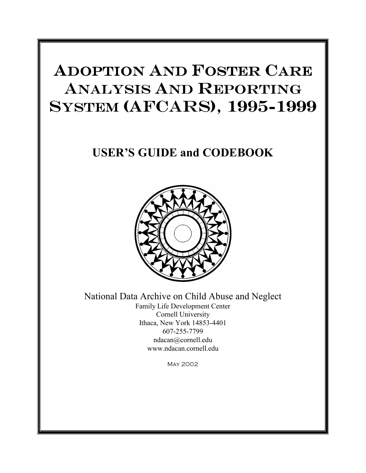# SYSTEM (AFCARS), 1995-1999 ADOPTION AND FOSTER CARE ANALYSIS AND REPORTING

# **USER'S GUIDE and CODEBOOK**



National Data Archive on Child Abuse and Neglect

Family Life Development Center Cornell University Ithaca, New York 14853-4401 607-255-7799 ndacan@cornell.edu www.ndacan.cornell.edu

May 2002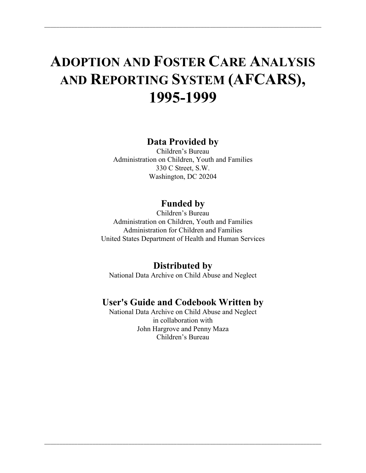# **ADOPTION AND FOSTER CARE ANALYSIS AND REPORTING SYSTEM (AFCARS), 1995-1999**

\_\_\_\_\_\_\_\_\_\_\_\_\_\_\_\_\_\_\_\_\_\_\_\_\_\_\_\_\_\_\_\_\_\_\_\_\_\_\_\_\_\_\_\_\_\_\_\_\_\_\_\_\_\_\_\_\_\_\_\_\_\_\_\_\_\_\_\_\_\_\_\_\_\_\_\_\_\_\_\_\_\_\_\_\_\_\_\_\_\_\_\_

# **Data Provided by**

Children's Bureau Administration on Children, Youth and Families 330 C Street, S.W. Washington, DC 20204

# **Funded by**

Children's Bureau Administration on Children, Youth and Families Administration for Children and Families United States Department of Health and Human Services

# **Distributed by**

National Data Archive on Child Abuse and Neglect

# **User's Guide and Codebook Written by**

National Data Archive on Child Abuse and Neglect in collaboration with John Hargrove and Penny Maza Children's Bureau

\_\_\_\_\_\_\_\_\_\_\_\_\_\_\_\_\_\_\_\_\_\_\_\_\_\_\_\_\_\_\_\_\_\_\_\_\_\_\_\_\_\_\_\_\_\_\_\_\_\_\_\_\_\_\_\_\_\_\_\_\_\_\_\_\_\_\_\_\_\_\_\_\_\_\_\_\_\_\_\_\_\_\_\_\_\_\_\_\_\_\_\_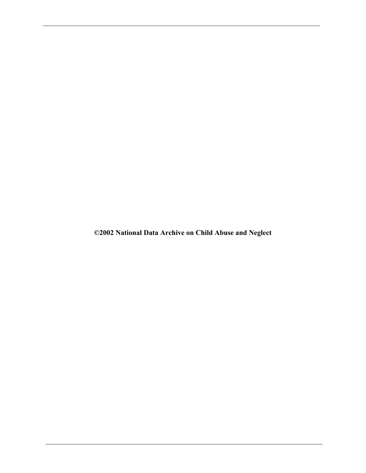©2002 National Data Archive on Child Abuse and Neglect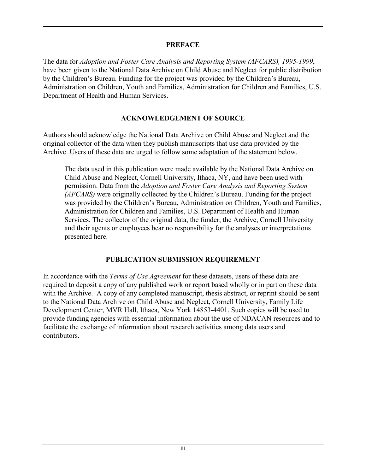# **PREFACE**

The data for *Adoption and Foster Care Analysis and Reporting System (AFCARS), 1995-1999*, have been given to the National Data Archive on Child Abuse and Neglect for public distribution by the Children's Bureau. Funding for the project was provided by the Children's Bureau, Administration on Children, Youth and Families, Administration for Children and Families, U.S. Department of Health and Human Services.

# **ACKNOWLEDGEMENT OF SOURCE**

Authors should acknowledge the National Data Archive on Child Abuse and Neglect and the original collector of the data when they publish manuscripts that use data provided by the Archive. Users of these data are urged to follow some adaptation of the statement below.

The data used in this publication were made available by the National Data Archive on Child Abuse and Neglect, Cornell University, Ithaca, NY, and have been used with permission. Data from the *Adoption and Foster Care Analysis and Reporting System (AFCARS)* were originally collected by the Children's Bureau. Funding for the project was provided by the Children's Bureau, Administration on Children, Youth and Families, Administration for Children and Families, U.S. Department of Health and Human Services. The collector of the original data, the funder, the Archive, Cornell University and their agents or employees bear no responsibility for the analyses or interpretations presented here.

# **PUBLICATION SUBMISSION REQUIREMENT**

In accordance with the *Terms of Use Agreement* for these datasets, users of these data are required to deposit a copy of any published work or report based wholly or in part on these data with the Archive. A copy of any completed manuscript, thesis abstract, or reprint should be sent to the National Data Archive on Child Abuse and Neglect, Cornell University, Family Life Development Center, MVR Hall, Ithaca, New York 14853-4401. Such copies will be used to provide funding agencies with essential information about the use of NDACAN resources and to facilitate the exchange of information about research activities among data users and contributors.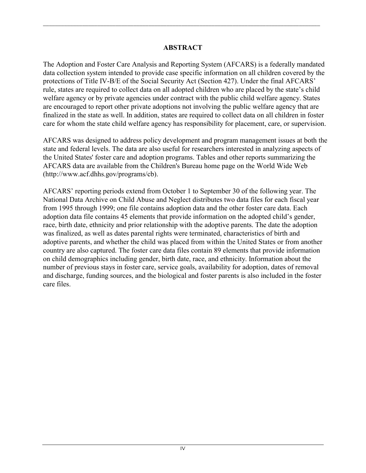# **ABSTRACT**

\_\_\_\_\_\_\_\_\_\_\_\_\_\_\_\_\_\_\_\_\_\_\_\_\_\_\_\_\_\_\_\_\_\_\_\_\_\_\_\_\_\_\_\_\_\_\_\_\_\_\_\_\_\_\_\_\_\_\_\_\_\_\_\_\_\_\_\_\_\_\_\_\_\_\_\_\_\_\_\_\_\_\_\_\_\_\_\_\_\_\_\_

The Adoption and Foster Care Analysis and Reporting System (AFCARS) is a federally mandated data collection system intended to provide case specific information on all children covered by the protections of Title IV-B/E of the Social Security Act (Section 427). Under the final AFCARS' rule, states are required to collect data on all adopted children who are placed by the state's child welfare agency or by private agencies under contract with the public child welfare agency. States are encouraged to report other private adoptions not involving the public welfare agency that are finalized in the state as well. In addition, states are required to collect data on all children in foster care for whom the state child welfare agency has responsibility for placement, care, or supervision.

AFCARS was designed to address policy development and program management issues at both the state and federal levels. The data are also useful for researchers interested in analyzing aspects of the United States' foster care and adoption programs. Tables and other reports summarizing the AFCARS data are available from the Children's Bureau home page on the World Wide Web (http://www.acf.dhhs.gov/programs/cb).

AFCARS' reporting periods extend from October 1 to September 30 of the following year. The National Data Archive on Child Abuse and Neglect distributes two data files for each fiscal year from 1995 through 1999; one file contains adoption data and the other foster care data. Each adoption data file contains 45 elements that provide information on the adopted child's gender, race, birth date, ethnicity and prior relationship with the adoptive parents. The date the adoption was finalized, as well as dates parental rights were terminated, characteristics of birth and adoptive parents, and whether the child was placed from within the United States or from another country are also captured. The foster care data files contain 89 elements that provide information on child demographics including gender, birth date, race, and ethnicity. Information about the number of previous stays in foster care, service goals, availability for adoption, dates of removal and discharge, funding sources, and the biological and foster parents is also included in the foster care files.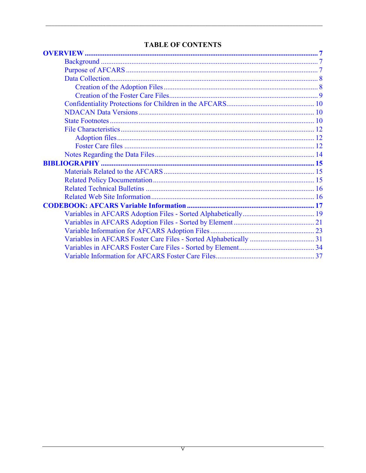# **TABLE OF CONTENTS**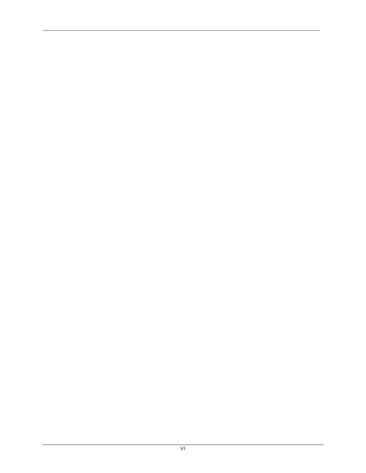$\overline{VI}$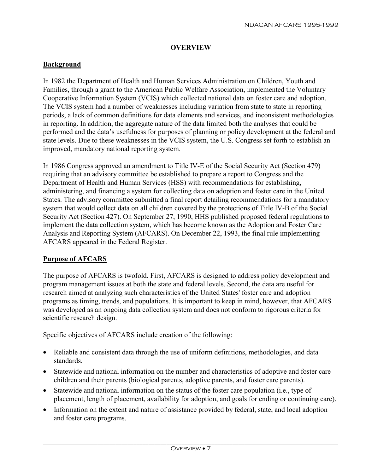### **OVERVIEW**

### <span id="page-8-0"></span>**Background**

In 1982 the Department of Health and Human Services Administration on Children, Youth and Families, through a grant to the American Public Welfare Association, implemented the Voluntary Cooperative Information System (VCIS) which collected national data on foster care and adoption. The VCIS system had a number of weaknesses including variation from state to state in reporting periods, a lack of common definitions for data elements and services, and inconsistent methodologies in reporting. In addition, the aggregate nature of the data limited both the analyses that could be performed and the data's usefulness for purposes of planning or policy development at the federal and state levels. Due to these weaknesses in the VCIS system, the U.S. Congress set forth to establish an improved, mandatory national reporting system.

In 1986 Congress approved an amendment to Title IV-E of the Social Security Act (Section 479) requiring that an advisory committee be established to prepare a report to Congress and the Department of Health and Human Services (HSS) with recommendations for establishing, administering, and financing a system for collecting data on adoption and foster care in the United States. The advisory committee submitted a final report detailing recommendations for a mandatory system that would collect data on all children covered by the protections of Title IV-B of the Social Security Act (Section 427). On September 27, 1990, HHS published proposed federal regulations to implement the data collection system, which has become known as the Adoption and Foster Care Analysis and Reporting System (AFCARS). On December 22, 1993, the final rule implementing AFCARS appeared in the Federal Register.

### **Purpose of AFCARS**

The purpose of AFCARS is twofold. First, AFCARS is designed to address policy development and program management issues at both the state and federal levels. Second, the data are useful for research aimed at analyzing such characteristics of the United States' foster care and adoption programs as timing, trends, and populations. It is important to keep in mind, however, that AFCARS was developed as an ongoing data collection system and does not conform to rigorous criteria for scientific research design.

Specific objectives of AFCARS include creation of the following:

- Reliable and consistent data through the use of uniform definitions, methodologies, and data standards.
- Statewide and national information on the number and characteristics of adoptive and foster care children and their parents (biological parents, adoptive parents, and foster care parents).
- Statewide and national information on the status of the foster care population (i.e., type of placement, length of placement, availability for adoption, and goals for ending or continuing care).
- Information on the extent and nature of assistance provided by federal, state, and local adoption and foster care programs.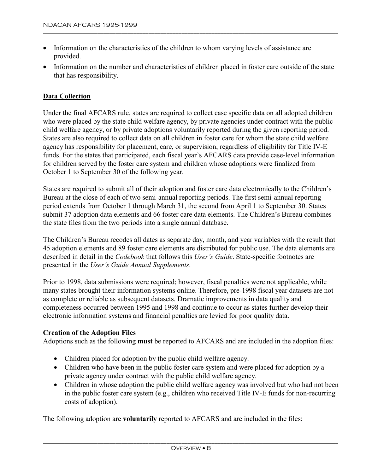- <span id="page-9-0"></span>Information on the characteristics of the children to whom varying levels of assistance are provided.
- Information on the number and characteristics of children placed in foster care outside of the state that has responsibility.

#### **Data Collection**

Under the final AFCARS rule, states are required to collect case specific data on all adopted children who were placed by the state child welfare agency, by private agencies under contract with the public child welfare agency, or by private adoptions voluntarily reported during the given reporting period. States are also required to collect data on all children in foster care for whom the state child welfare agency has responsibility for placement, care, or supervision, regardless of eligibility for Title IV-E funds. For the states that participated, each fiscal year's AFCARS data provide case-level information for children served by the foster care system and children whose adoptions were finalized from October 1 to September 30 of the following year.

States are required to submit all of their adoption and foster care data electronically to the Children's Bureau at the close of each of two semi-annual reporting periods. The first semi-annual reporting period extends from October 1 through March 31, the second from April 1 to September 30. States submit 37 adoption data elements and 66 foster care data elements. The Children's Bureau combines the state files from the two periods into a single annual database.

The Children's Bureau recodes all dates as separate day, month, and year variables with the result that 45 adoption elements and 89 foster care elements are distributed for public use. The data elements are described in detail in the *Codebook* that follows this *User's Guide*. State-specific footnotes are presented in the *User's Guide Annual Supplements*.

Prior to 1998, data submissions were required; however, fiscal penalties were not applicable, while many states brought their information systems online. Therefore, pre-1998 fiscal year datasets are not as complete or reliable as subsequent datasets. Dramatic improvements in data quality and completeness occurred between 1995 and 1998 and continue to occur as states further develop their electronic information systems and financial penalties are levied for poor quality data.

#### **Creation of the Adoption Files**

Adoptions such as the following **must** be reported to AFCARS and are included in the adoption files:

- Children placed for adoption by the public child welfare agency.
- Children who have been in the public foster care system and were placed for adoption by a private agency under contract with the public child welfare agency.
- Children in whose adoption the public child welfare agency was involved but who had not been in the public foster care system (e.g., children who received Title IV-E funds for non-recurring costs of adoption).

The following adoption are **voluntarily** reported to AFCARS and are included in the files: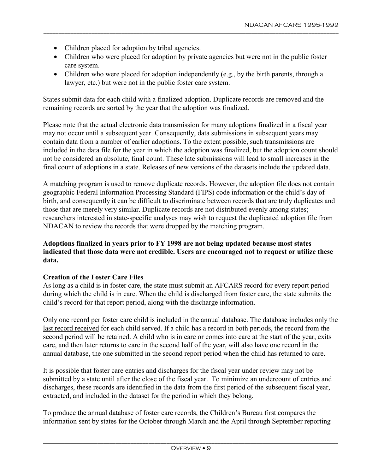- Children placed for adoption by tribal agencies.
- Children who were placed for adoption by private agencies but were not in the public foster care system.

<span id="page-10-0"></span> $\overline{a_1}$  ,  $\overline{a_2}$  ,  $\overline{a_3}$  ,  $\overline{a_4}$  ,  $\overline{a_5}$  ,  $\overline{a_6}$  ,  $\overline{a_7}$  ,  $\overline{a_8}$  ,  $\overline{a_9}$  ,  $\overline{a_9}$  ,  $\overline{a_9}$  ,  $\overline{a_9}$  ,  $\overline{a_9}$  ,  $\overline{a_9}$  ,  $\overline{a_9}$  ,  $\overline{a_9}$  ,  $\overline{a_9}$  ,

• Children who were placed for adoption independently (e.g., by the birth parents, through a lawyer, etc.) but were not in the public foster care system.

States submit data for each child with a finalized adoption. Duplicate records are removed and the remaining records are sorted by the year that the adoption was finalized.

Please note that the actual electronic data transmission for many adoptions finalized in a fiscal year may not occur until a subsequent year. Consequently, data submissions in subsequent years may contain data from a number of earlier adoptions. To the extent possible, such transmissions are included in the data file for the year in which the adoption was finalized, but the adoption count should not be considered an absolute, final count. These late submissions will lead to small increases in the final count of adoptions in a state. Releases of new versions of the datasets include the updated data.

A matching program is used to remove duplicate records. However, the adoption file does not contain geographic Federal Information Processing Standard (FIPS) code information or the child's day of birth, and consequently it can be difficult to discriminate between records that are truly duplicates and those that are merely very similar. Duplicate records are not distributed evenly among states; researchers interested in state-specific analyses may wish to request the duplicated adoption file from NDACAN to review the records that were dropped by the matching program.

### **Adoptions finalized in years prior to FY 1998 are not being updated because most states indicated that those data were not credible. Users are encouraged not to request or utilize these data.**

### **Creation of the Foster Care Files**

As long as a child is in foster care, the state must submit an AFCARS record for every report period during which the child is in care. When the child is discharged from foster care, the state submits the child's record for that report period, along with the discharge information.

Only one record per foster care child is included in the annual database. Τhe database includes only the last record received for each child served. If a child has a record in both periods, the record from the second period will be retained. A child who is in care or comes into care at the start of the year, exits care, and then later returns to care in the second half of the year, will also have one record in the annual database, the one submitted in the second report period when the child has returned to care.

It is possible that foster care entries and discharges for the fiscal year under review may not be submitted by a state until after the close of the fiscal year. To minimize an undercount of entries and discharges, these records are identified in the data from the first period of the subsequent fiscal year, extracted, and included in the dataset for the period in which they belong.

To produce the annual database of foster care records, the Children's Bureau first compares the information sent by states for the October through March and the April through September reporting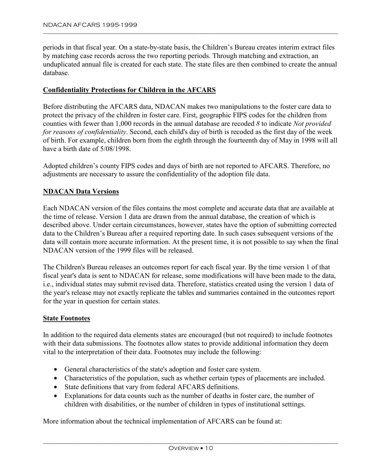periods in that fiscal year. On a state-by-state basis, the Children's Bureau creates interim extract files by matching case records across the two reporting periods. Through matching and extraction, an unduplicated annual file is created for each state. The state files are then combined to create the annual database.

<span id="page-11-0"></span>\_\_\_\_\_\_\_\_\_\_\_\_\_\_\_\_\_\_\_\_\_\_\_\_\_\_\_\_\_\_\_\_\_\_\_\_\_\_\_\_\_\_\_\_\_\_\_\_\_\_\_\_\_\_\_\_\_\_\_\_\_\_\_\_\_\_\_\_\_\_\_\_\_\_\_\_\_\_\_\_\_\_\_\_\_\_\_\_\_\_\_\_\_\_\_\_\_\_

#### **Confidentiality Protections for Children in the AFCARS**

Before distributing the AFCARS data, NDACAN makes two manipulations to the foster care data to protect the privacy of the children in foster care. First, geographic FIPS codes for the children from counties with fewer than 1,000 records in the annual database are recoded *8* to indicate *Not provided for reasons of confidentiality*. Second, each child's day of birth is recoded as the first day of the week of birth. For example, children born from the eighth through the fourteenth day of May in 1998 will all have a birth date of 5/08/1998.

Adopted children's county FIPS codes and days of birth are not reported to AFCARS. Therefore, no adjustments are necessary to assure the confidentiality of the adoption file data.

#### **NDACAN Data Versions**

Each NDACAN version of the files contains the most complete and accurate data that are available at the time of release. Version 1 data are drawn from the annual database, the creation of which is described above. Under certain circumstances, however, states have the option of submitting corrected data to the Children's Bureau after a required reporting date. In such cases subsequent versions of the data will contain more accurate information. At the present time, it is not possible to say when the final NDACAN version of the 1999 files will be released.

The Children's Bureau releases an outcomes report for each fiscal year. By the time version 1 of that fiscal year's data is sent to NDACAN for release, some modifications will have been made to the data, i.e., individual states may submit revised data. Therefore, statistics created using the version 1 data of the year's release may not exactly replicate the tables and summaries contained in the outcomes report for the year in question for certain states.

#### **State Footnotes**

In addition to the required data elements states are encouraged (but not required) to include footnotes with their data submissions. The footnotes allow states to provide additional information they deem vital to the interpretation of their data. Footnotes may include the following:

- General characteristics of the state's adoption and foster care system.
- Characteristics of the population, such as whether certain types of placements are included.
- State definitions that vary from federal AFCARS definitions.
- Explanations for data counts such as the number of deaths in foster care, the number of children with disabilities, or the number of children in types of institutional settings.

More information about the technical implementation of AFCARS can be found at: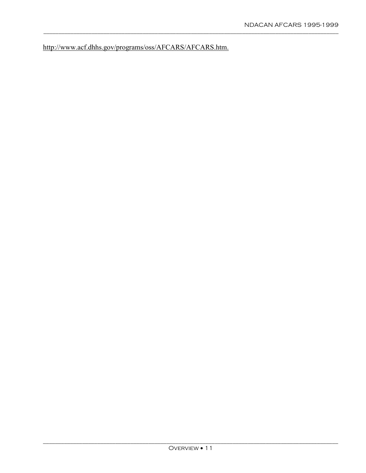http://www.acf.dhhs.gov/programs/oss/AFCARS/AFCARS.htm.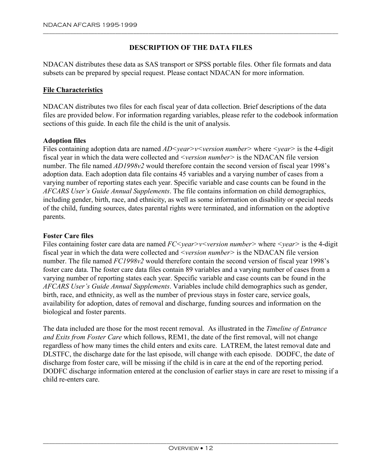### **DESCRIPTION OF THE DATA FILES**

<span id="page-13-0"></span>\_\_\_\_\_\_\_\_\_\_\_\_\_\_\_\_\_\_\_\_\_\_\_\_\_\_\_\_\_\_\_\_\_\_\_\_\_\_\_\_\_\_\_\_\_\_\_\_\_\_\_\_\_\_\_\_\_\_\_\_\_\_\_\_\_\_\_\_\_\_\_\_\_\_\_\_\_\_\_\_\_\_\_\_\_\_\_\_\_\_\_\_\_\_\_\_\_\_

NDACAN distributes these data as SAS transport or SPSS portable files. Other file formats and data subsets can be prepared by special request. Please contact NDACAN for more information.

#### **File Characteristics**

NDACAN distributes two files for each fiscal year of data collection. Brief descriptions of the data files are provided below. For information regarding variables, please refer to the codebook information sections of this guide. In each file the child is the unit of analysis.

#### **Adoption files**

Files containing adoption data are named *AD<year>v<version number>* where *<year>* is the 4-digit fiscal year in which the data were collected and *<version number>* is the NDACAN file version number. The file named *AD1998v2* would therefore contain the second version of fiscal year 1998's adoption data. Each adoption data file contains 45 variables and a varying number of cases from a varying number of reporting states each year. Specific variable and case counts can be found in the *AFCARS User's Guide Annual Supplements*. The file contains information on child demographics, including gender, birth, race, and ethnicity, as well as some information on disability or special needs of the child, funding sources, dates parental rights were terminated, and information on the adoptive parents.

#### **Foster Care files**

Files containing foster care data are named *FC<year>v<version number>* where *<year>* is the 4-digit fiscal year in which the data were collected and *<version number>* is the NDACAN file version number. The file named *FC1998v2* would therefore contain the second version of fiscal year 1998's foster care data. The foster care data files contain 89 variables and a varying number of cases from a varying number of reporting states each year. Specific variable and case counts can be found in the *AFCARS User's Guide Annual Supplements*. Variables include child demographics such as gender, birth, race, and ethnicity, as well as the number of previous stays in foster care, service goals, availability for adoption, dates of removal and discharge, funding sources and information on the biological and foster parents.

The data included are those for the most recent removal. As illustrated in the *Timeline of Entrance and Exits from Foster Care* which follows, REM1, the date of the first removal, will not change regardless of how many times the child enters and exits care. LATREM, the latest removal date and DLSTFC, the discharge date for the last episode, will change with each episode. DODFC, the date of discharge from foster care, will be missing if the child is in care at the end of the reporting period. DODFC discharge information entered at the conclusion of earlier stays in care are reset to missing if a child re-enters care.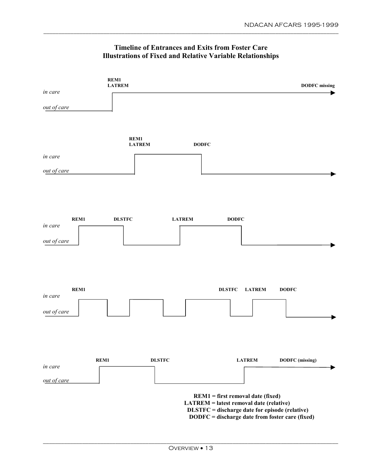### **Timeline of Entrances and Exits from Foster Care Illustrations of Fixed and Relative Variable Relationships**

 $\overline{a_1}$  ,  $\overline{a_2}$  ,  $\overline{a_3}$  ,  $\overline{a_4}$  ,  $\overline{a_5}$  ,  $\overline{a_6}$  ,  $\overline{a_7}$  ,  $\overline{a_8}$  ,  $\overline{a_9}$  ,  $\overline{a_9}$  ,  $\overline{a_9}$  ,  $\overline{a_9}$  ,  $\overline{a_9}$  ,  $\overline{a_9}$  ,  $\overline{a_9}$  ,  $\overline{a_9}$  ,  $\overline{a_9}$  ,

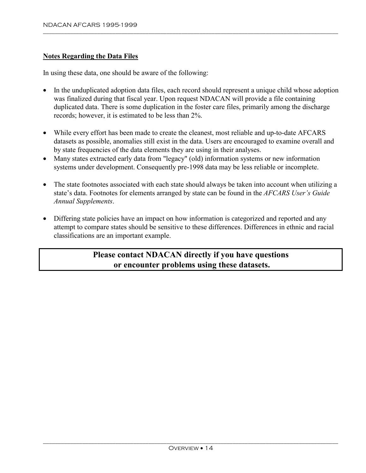#### **Notes Regarding the Data Files**

In using these data, one should be aware of the following:

• In the unduplicated adoption data files, each record should represent a unique child whose adoption was finalized during that fiscal year. Upon request NDACAN will provide a file containing duplicated data. There is some duplication in the foster care files, primarily among the discharge records; however, it is estimated to be less than 2%.

<span id="page-15-0"></span>\_\_\_\_\_\_\_\_\_\_\_\_\_\_\_\_\_\_\_\_\_\_\_\_\_\_\_\_\_\_\_\_\_\_\_\_\_\_\_\_\_\_\_\_\_\_\_\_\_\_\_\_\_\_\_\_\_\_\_\_\_\_\_\_\_\_\_\_\_\_\_\_\_\_\_\_\_\_\_\_\_\_\_\_\_\_\_\_\_\_\_\_\_\_\_\_\_\_

- While every effort has been made to create the cleanest, most reliable and up-to-date AFCARS datasets as possible, anomalies still exist in the data. Users are encouraged to examine overall and by state frequencies of the data elements they are using in their analyses.
- Many states extracted early data from "legacy" (old) information systems or new information systems under development. Consequently pre-1998 data may be less reliable or incomplete.
- The state footnotes associated with each state should always be taken into account when utilizing a state's data. Footnotes for elements arranged by state can be found in the *AFCARS User's Guide Annual Supplements*.
- Differing state policies have an impact on how information is categorized and reported and any attempt to compare states should be sensitive to these differences. Differences in ethnic and racial classifications are an important example.

# **Please contact NDACAN directly if you have questions or encounter problems using these datasets.**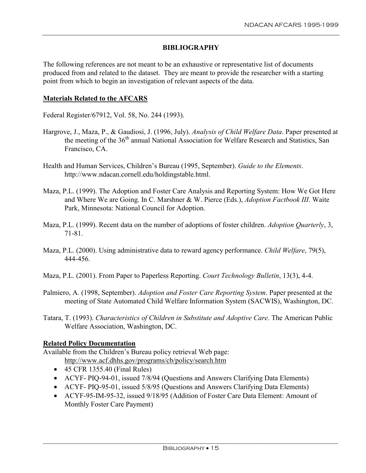### **BIBLIOGRAPHY**

<span id="page-16-0"></span>The following references are not meant to be an exhaustive or representative list of documents produced from and related to the dataset. They are meant to provide the researcher with a starting point from which to begin an investigation of relevant aspects of the data.

### **Materials Related to the AFCARS**

Federal Register/67912, Vol. 58, No. 244 (1993).

- Hargrove, J., Maza, P., & Gaudiosi, J. (1996, July). *Analysis of Child Welfare Data*. Paper presented at the meeting of the 36<sup>th</sup> annual National Association for Welfare Research and Statistics, San Francisco, CA.
- Health and Human Services, Children's Bureau (1995, September). *Guide to the Elements*. http://www.ndacan.cornell.edu/holdingstable.html.
- Maza, P.L. (1999). The Adoption and Foster Care Analysis and Reporting System: How We Got Here and Where We are Going. In C. Marshner & W. Pierce (Eds.), *Adoption Factbook III*. Waite Park, Minnesota: National Council for Adoption.
- Maza, P.L. (1999). Recent data on the number of adoptions of foster children. *Adoption Quarterly*, 3, 71-81.
- Maza, P.L. (2000). Using administrative data to reward agency performance. *Child Welfare*, 79(5), 444-456.
- Maza, P.L. (2001). From Paper to Paperless Reporting. *Court Technology Bulletin*, 13(3), 4-4.
- Palmiero, A. (1998, September). *Adoption and Foster Care Reporting System*. Paper presented at the meeting of State Automated Child Welfare Information System (SACWIS), Washington, DC.
- Tatara, T. (1993). *Characteristics of Children in Substitute and Adoptive Care*. The American Public Welfare Association, Washington, DC.

### **Related Policy Documentation**

Available from the Children's Bureau policy retrieval Web page: http://www.acf.dhhs.gov/programs/cb/policy/search.htm

- 45 CFR 1355.40 (Final Rules)
- ACYF- PIQ-94-01, issued 7/8/94 (Questions and Answers Clarifying Data Elements)
- ACYF- PIQ-95-01, issued 5/8/95 (Questions and Answers Clarifying Data Elements)
- ACYF-95-IM-95-32, issued 9/18/95 (Addition of Foster Care Data Element: Amount of Monthly Foster Care Payment)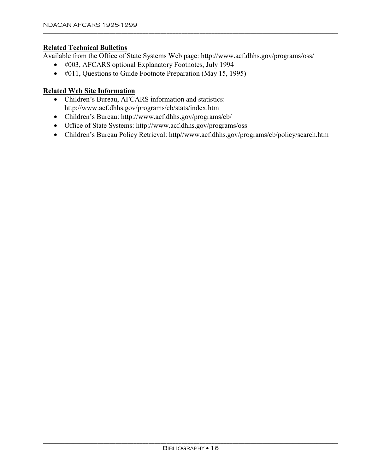## **Related Technical Bulletins**

Available from the Office of State Systems Web page: http://www.acf.dhhs.gov/programs/oss/

<span id="page-17-0"></span>\_\_\_\_\_\_\_\_\_\_\_\_\_\_\_\_\_\_\_\_\_\_\_\_\_\_\_\_\_\_\_\_\_\_\_\_\_\_\_\_\_\_\_\_\_\_\_\_\_\_\_\_\_\_\_\_\_\_\_\_\_\_\_\_\_\_\_\_\_\_\_\_\_\_\_\_\_\_\_\_\_\_\_\_\_\_\_\_\_\_\_\_\_\_\_\_\_\_

- • #003, AFCARS optional Explanatory Footnotes, July 1994
- #011, Questions to Guide Footnote Preparation (May 15, 1995)

### **Related Web Site Information**

- Children's Bureau, AFCARS information and statistics: http://www.acf.dhhs.gov/programs/cb/stats/index.htm
- Children's Bureau: http://www.acf.dhhs.gov/programs/cb/
- Office of State Systems: http://www.acf.dhhs.gov/programs/oss
- • Children's Bureau Policy Retrieval: http//www.acf.dhhs.gov/programs/cb/policy/search.htm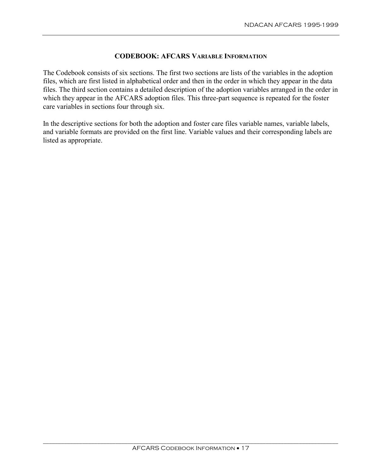### **CODEBOOK: AFCARS VARIABLE INFORMATION**

<span id="page-18-0"></span>The Codebook consists of six sections. The first two sections are lists of the variables in the adoption files, which are first listed in alphabetical order and then in the order in which they appear in the data files. The third section contains a detailed description of the adoption variables arranged in the order in which they appear in the AFCARS adoption files. This three-part sequence is repeated for the foster care variables in sections four through six.

In the descriptive sections for both the adoption and foster care files variable names, variable labels, and variable formats are provided on the first line. Variable values and their corresponding labels are listed as appropriate.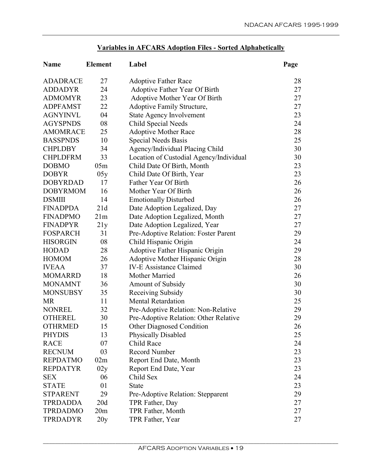# **Variables in AFCARS Adoption Files - Sorted Alphabetically**

<span id="page-20-0"></span>

| <b>Name</b>     | <b>Element</b> | Label                                   | Page |
|-----------------|----------------|-----------------------------------------|------|
| <b>ADADRACE</b> | 27             | <b>Adoptive Father Race</b>             | 28   |
| <b>ADDADYR</b>  | 24             | Adoptive Father Year Of Birth           | 27   |
| <b>ADMOMYR</b>  | 23             | Adoptive Mother Year Of Birth           | 27   |
| <b>ADPFAMST</b> | 22             | Adoptive Family Structure,              | 27   |
| <b>AGNYINVL</b> | 04             | <b>State Agency Involvement</b>         | 23   |
| <b>AGYSPNDS</b> | 08             | Child Special Needs                     | 24   |
| <b>AMOMRACE</b> | 25             | Adoptive Mother Race                    | 28   |
| <b>BASSPNDS</b> | 10             | <b>Special Needs Basis</b>              | 25   |
| <b>CHPLDBY</b>  | 34             | Agency/Individual Placing Child         | 30   |
| <b>CHPLDFRM</b> | 33             | Location of Custodial Agency/Individual | 30   |
| <b>DOBMO</b>    | 05m            | Child Date Of Birth, Month              | 23   |
| <b>DOBYR</b>    | 05y            | Child Date Of Birth, Year               | 23   |
| <b>DOBYRDAD</b> | 17             | Father Year Of Birth                    | 26   |
| <b>DOBYRMOM</b> | 16             | Mother Year Of Birth                    | 26   |
| <b>DSMIII</b>   | 14             | <b>Emotionally Disturbed</b>            | 26   |
| <b>FINADPDA</b> | 21d            | Date Adoption Legalized, Day            | 27   |
| <b>FINADPMO</b> | 21m            | Date Adoption Legalized, Month          | 27   |
| <b>FINADPYR</b> | 21y            | Date Adoption Legalized, Year           | 27   |
| <b>FOSPARCH</b> | 31             | Pre-Adoptive Relation: Foster Parent    | 29   |
| <b>HISORGIN</b> | 08             | Child Hispanic Origin                   | 24   |
| <b>HODAD</b>    | 28             | Adoptive Father Hispanic Origin         | 29   |
| <b>HOMOM</b>    | 26             | Adoptive Mother Hispanic Origin         | 28   |
| <b>IVEAA</b>    | 37             | <b>IV-E Assistance Claimed</b>          | 30   |
| <b>MOMARRD</b>  | 18             | Mother Married                          | 26   |
| <b>MONAMNT</b>  | 36             | Amount of Subsidy                       | 30   |
| <b>MONSUBSY</b> | 35             | Receiving Subsidy                       | 30   |
| <b>MR</b>       | 11             | <b>Mental Retardation</b>               | 25   |
| <b>NONREL</b>   | 32             | Pre-Adoptive Relation: Non-Relative     | 29   |
| <b>OTHEREL</b>  | 30             | Pre-Adoptive Relation: Other Relative   | 29   |
| <b>OTHRMED</b>  | 15             | <b>Other Diagnosed Condition</b>        | 26   |
| <b>PHYDIS</b>   | 13             | <b>Physically Disabled</b>              | 25   |
| <b>RACE</b>     | 07             | Child Race                              | 24   |
| <b>RECNUM</b>   | 03             | <b>Record Number</b>                    | 23   |
| <b>REPDATMO</b> | 02m            | Report End Date, Month                  | 23   |
| <b>REPDATYR</b> | 02y            | Report End Date, Year                   | 23   |
| <b>SEX</b>      | 06             | Child Sex                               | 24   |
| <b>STATE</b>    | 01             | <b>State</b>                            | 23   |
| <b>STPARENT</b> | 29             | Pre-Adoptive Relation: Stepparent       | 29   |
| <b>TPRDADDA</b> | 20d            | TPR Father, Day                         | 27   |
| <b>TPRDADMO</b> | 20m            | TPR Father, Month                       | 27   |
| <b>TPRDADYR</b> | 20y            | TPR Father, Year                        | 27   |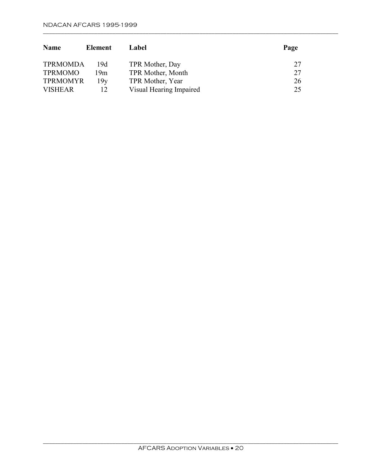| <b>Name</b>     | <b>Element</b> | Label                   | Page |
|-----------------|----------------|-------------------------|------|
| <b>TPRMOMDA</b> | 19d            | TPR Mother, Day         | 27   |
| <b>TPRMOMO</b>  | 19m.           | TPR Mother, Month       | 27   |
| <b>TPRMOMYR</b> | 19v            | TPR Mother, Year        | 26   |
| <b>VISHEAR</b>  |                | Visual Hearing Impaired | 25   |

\_\_\_\_\_\_\_\_\_\_\_\_\_\_\_\_\_\_\_\_\_\_\_\_\_\_\_\_\_\_\_\_\_\_\_\_\_\_\_\_\_\_\_\_\_\_\_\_\_\_\_\_\_\_\_\_\_\_\_\_\_\_\_\_\_\_\_\_\_\_\_\_\_\_\_\_\_\_\_\_\_\_\_\_\_\_\_\_\_\_\_\_\_\_\_\_\_\_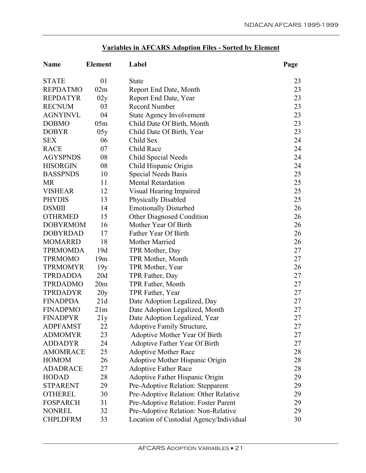<span id="page-22-0"></span>

| <b>Name</b>     | <b>Element</b> | Label                                   | Page |
|-----------------|----------------|-----------------------------------------|------|
| <b>STATE</b>    | 01             | <b>State</b>                            | 23   |
| <b>REPDATMO</b> | 02m            | Report End Date, Month                  | 23   |
| <b>REPDATYR</b> | 02y            | Report End Date, Year                   | 23   |
| <b>RECNUM</b>   | 03             | Record Number                           | 23   |
| <b>AGNYINVL</b> | 04             | <b>State Agency Involvement</b>         | 23   |
| <b>DOBMO</b>    | 05m            | Child Date Of Birth, Month              | 23   |
| <b>DOBYR</b>    | 05y            | Child Date Of Birth, Year               | 23   |
| <b>SEX</b>      | 06             | Child Sex                               | 24   |
| <b>RACE</b>     | 07             | Child Race                              | 24   |
| <b>AGYSPNDS</b> | 08             | Child Special Needs                     | 24   |
| <b>HISORGIN</b> | 08             | Child Hispanic Origin                   | 24   |
| <b>BASSPNDS</b> | 10             | <b>Special Needs Basis</b>              | 25   |
| <b>MR</b>       | 11             | <b>Mental Retardation</b>               | 25   |
| <b>VISHEAR</b>  | 12             | Visual Hearing Impaired                 | 25   |
| <b>PHYDIS</b>   | 13             | <b>Physically Disabled</b>              | 25   |
| <b>DSMIII</b>   | 14             | <b>Emotionally Disturbed</b>            | 26   |
| <b>OTHRMED</b>  | 15             | Other Diagnosed Condition               | 26   |
| <b>DOBYRMOM</b> | 16             | Mother Year Of Birth                    | 26   |
| <b>DOBYRDAD</b> | 17             | Father Year Of Birth                    | 26   |
| <b>MOMARRD</b>  | 18             | Mother Married                          | 26   |
| <b>TPRMOMDA</b> | 19d            | TPR Mother, Day                         | 27   |
| <b>TPRMOMO</b>  | 19m            | TPR Mother, Month                       | 27   |
| <b>TPRMOMYR</b> | 19y            | TPR Mother, Year                        | 26   |
| <b>TPRDADDA</b> | 20d            | TPR Father, Day                         | 27   |
| <b>TPRDADMO</b> | 20m            | TPR Father, Month                       | 27   |
| <b>TPRDADYR</b> | 20y            | TPR Father, Year                        | 27   |
| <b>FINADPDA</b> | 21d            | Date Adoption Legalized, Day            | 27   |
| <b>FINADPMO</b> | 21m            | Date Adoption Legalized, Month          | 27   |
| <b>FINADPYR</b> | 21y            | Date Adoption Legalized, Year           | 27   |
| <b>ADPFAMST</b> | 22             | Adoptive Family Structure,              | 27   |
| <b>ADMOMYR</b>  | 23             | Adoptive Mother Year Of Birth           | 27   |
| <b>ADDADYR</b>  | 24             | Adoptive Father Year Of Birth           | 27   |
| <b>AMOMRACE</b> | 25             | <b>Adoptive Mother Race</b>             | 28   |
| <b>HOMOM</b>    | 26             | Adoptive Mother Hispanic Origin         | 28   |
| <b>ADADRACE</b> | 27             | <b>Adoptive Father Race</b>             | 28   |
| <b>HODAD</b>    | 28             | Adoptive Father Hispanic Origin         | 29   |
| <b>STPARENT</b> | 29             | Pre-Adoptive Relation: Stepparent       | 29   |
| <b>OTHEREL</b>  | 30             | Pre-Adoptive Relation: Other Relative   | 29   |
| <b>FOSPARCH</b> | 31             | Pre-Adoptive Relation: Foster Parent    | 29   |
| <b>NONREL</b>   | 32             | Pre-Adoptive Relation: Non-Relative     | 29   |
| <b>CHPLDFRM</b> | 33             | Location of Custodial Agency/Individual | 30   |

# **Variables in AFCARS Adoption Files - Sorted by Element**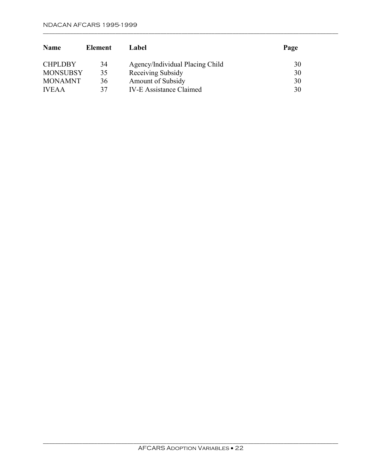| <b>Name</b>     | <b>Element</b> | Label                           | Page |
|-----------------|----------------|---------------------------------|------|
| <b>CHPLDBY</b>  | 34             | Agency/Individual Placing Child | 30   |
| <b>MONSUBSY</b> | 35             | Receiving Subsidy               | 30   |
| <b>MONAMNT</b>  | 36             | <b>Amount of Subsidy</b>        | 30   |
| <b>IVEAA</b>    | 37             | <b>IV-E Assistance Claimed</b>  | 30   |

\_\_\_\_\_\_\_\_\_\_\_\_\_\_\_\_\_\_\_\_\_\_\_\_\_\_\_\_\_\_\_\_\_\_\_\_\_\_\_\_\_\_\_\_\_\_\_\_\_\_\_\_\_\_\_\_\_\_\_\_\_\_\_\_\_\_\_\_\_\_\_\_\_\_\_\_\_\_\_\_\_\_\_\_\_\_\_\_\_\_\_\_\_\_\_\_\_\_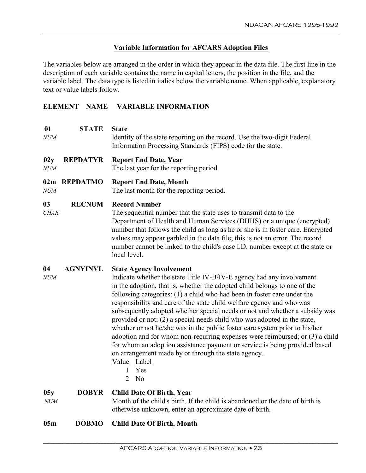# **Variable Information for AFCARS Adoption Files**

<span id="page-24-0"></span>The variables below are arranged in the order in which they appear in the data file. The first line in the description of each variable contains the name in capital letters, the position in the file, and the variable label. The data type is listed in italics below the variable name. When applicable, explanatory text or value labels follow.

### **ELEMENT NAME VARIABLE INFORMATION**

| 01<br><b>NUM</b>  | <b>STATE</b>    | <b>State</b><br>Identity of the state reporting on the record. Use the two-digit Federal<br>Information Processing Standards (FIPS) code for the state.                                                                                                                                                                                                                                                                                                                                                                                                                                                                                                                                                                                                                                                                                                                 |
|-------------------|-----------------|-------------------------------------------------------------------------------------------------------------------------------------------------------------------------------------------------------------------------------------------------------------------------------------------------------------------------------------------------------------------------------------------------------------------------------------------------------------------------------------------------------------------------------------------------------------------------------------------------------------------------------------------------------------------------------------------------------------------------------------------------------------------------------------------------------------------------------------------------------------------------|
| 02y<br>NUM        | <b>REPDATYR</b> | <b>Report End Date, Year</b><br>The last year for the reporting period.                                                                                                                                                                                                                                                                                                                                                                                                                                                                                                                                                                                                                                                                                                                                                                                                 |
| 02m<br>NUM        | <b>REPDATMO</b> | <b>Report End Date, Month</b><br>The last month for the reporting period.                                                                                                                                                                                                                                                                                                                                                                                                                                                                                                                                                                                                                                                                                                                                                                                               |
| 03<br><b>CHAR</b> | <b>RECNUM</b>   | <b>Record Number</b><br>The sequential number that the state uses to transmit data to the<br>Department of Health and Human Services (DHHS) or a unique (encrypted)<br>number that follows the child as long as he or she is in foster care. Encrypted<br>values may appear garbled in the data file; this is not an error. The record<br>number cannot be linked to the child's case I.D. number except at the state or<br>local level.                                                                                                                                                                                                                                                                                                                                                                                                                                |
| 04<br>NUM         | <b>AGNYINVL</b> | <b>State Agency Involvement</b><br>Indicate whether the state Title IV-B/IV-E agency had any involvement<br>in the adoption, that is, whether the adopted child belongs to one of the<br>following categories: (1) a child who had been in foster care under the<br>responsibility and care of the state child welfare agency and who was<br>subsequently adopted whether special needs or not and whether a subsidy was<br>provided or not; (2) a special needs child who was adopted in the state,<br>whether or not he/she was in the public foster care system prior to his/her<br>adoption and for whom non-recurring expenses were reimbursed; or (3) a child<br>for whom an adoption assistance payment or service is being provided based<br>on arrangement made by or through the state agency.<br>Value Label<br>Yes<br>1<br>$\overline{2}$<br>N <sub>0</sub> |
| 05y<br><b>NUM</b> | <b>DOBYR</b>    | <b>Child Date Of Birth, Year</b><br>Month of the child's birth. If the child is abandoned or the date of birth is<br>otherwise unknown, enter an approximate date of birth.                                                                                                                                                                                                                                                                                                                                                                                                                                                                                                                                                                                                                                                                                             |
| 05m               | <b>DOBMO</b>    | <b>Child Date Of Birth, Month</b>                                                                                                                                                                                                                                                                                                                                                                                                                                                                                                                                                                                                                                                                                                                                                                                                                                       |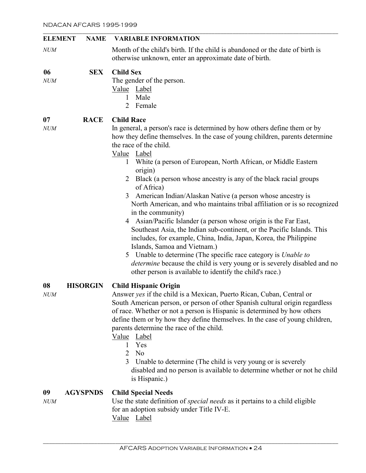| <b>ELEMENT</b>   | <b>NAME</b>     | <b>VARIABLE INFORMATION</b>                                                                                                                                                                                                                                                                                                                                                                                                                                                                                                                                                                                                                                                                                                                                                                                                                                                                                                                                                                                                             |
|------------------|-----------------|-----------------------------------------------------------------------------------------------------------------------------------------------------------------------------------------------------------------------------------------------------------------------------------------------------------------------------------------------------------------------------------------------------------------------------------------------------------------------------------------------------------------------------------------------------------------------------------------------------------------------------------------------------------------------------------------------------------------------------------------------------------------------------------------------------------------------------------------------------------------------------------------------------------------------------------------------------------------------------------------------------------------------------------------|
| NUM              |                 | Month of the child's birth. If the child is abandoned or the date of birth is<br>otherwise unknown, enter an approximate date of birth.                                                                                                                                                                                                                                                                                                                                                                                                                                                                                                                                                                                                                                                                                                                                                                                                                                                                                                 |
| 06<br><b>NUM</b> | <b>SEX</b>      | <b>Child Sex</b><br>The gender of the person.<br>Value Label<br>Male<br>$\mathbf{1}$<br>Female<br>2                                                                                                                                                                                                                                                                                                                                                                                                                                                                                                                                                                                                                                                                                                                                                                                                                                                                                                                                     |
| 07<br><b>NUM</b> | <b>RACE</b>     | <b>Child Race</b><br>In general, a person's race is determined by how others define them or by<br>how they define themselves. In the case of young children, parents determine<br>the race of the child.<br>Value Label<br>White (a person of European, North African, or Middle Eastern<br>1<br>origin)<br>Black (a person whose ancestry is any of the black racial groups<br>2<br>of Africa)<br>American Indian/Alaskan Native (a person whose ancestry is<br>3<br>North American, and who maintains tribal affiliation or is so recognized<br>in the community)<br>4 Asian/Pacific Islander (a person whose origin is the Far East,<br>Southeast Asia, the Indian sub-continent, or the Pacific Islands. This<br>includes, for example, China, India, Japan, Korea, the Philippine<br>Islands, Samoa and Vietnam.)<br>5 Unable to determine (The specific race category is Unable to<br><i>determine</i> because the child is very young or is severely disabled and no<br>other person is available to identify the child's race.) |
| 08<br><b>NUM</b> | <b>HISORGIN</b> | <b>Child Hispanic Origin</b><br>Answer yes if the child is a Mexican, Puerto Rican, Cuban, Central or<br>South American person, or person of other Spanish cultural origin regardless<br>of race. Whether or not a person is Hispanic is determined by how others<br>define them or by how they define themselves. In the case of young children,<br>parents determine the race of the child.<br>Value Label<br>Yes<br>1<br>N <sub>0</sub><br>$\overline{2}$<br>3<br>Unable to determine (The child is very young or is severely<br>disabled and no person is available to determine whether or not he child<br>is Hispanic.)                                                                                                                                                                                                                                                                                                                                                                                                           |
| 09<br><b>NUM</b> | <b>AGYSPNDS</b> | <b>Child Special Needs</b><br>Use the state definition of <i>special needs</i> as it pertains to a child eligible<br>for an adoption subsidy under Title IV-E.<br>Value Label                                                                                                                                                                                                                                                                                                                                                                                                                                                                                                                                                                                                                                                                                                                                                                                                                                                           |

\_\_\_\_\_\_\_\_\_\_\_\_\_\_\_\_\_\_\_\_\_\_\_\_\_\_\_\_\_\_\_\_\_\_\_\_\_\_\_\_\_\_\_\_\_\_\_\_\_\_\_\_\_\_\_\_\_\_\_\_\_\_\_\_\_\_\_\_\_\_\_\_\_\_\_\_\_\_\_\_\_\_\_\_\_\_\_\_\_\_\_\_\_\_\_\_\_\_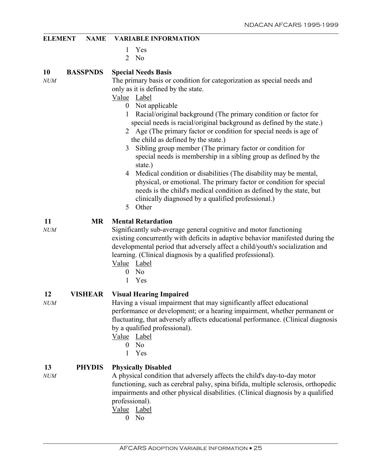| <b>ELEMENT</b>   | <b>NAME</b>     | <b>VARIABLE INFORMATION</b>                                                                                                                                                                                                                                                                                                                                                                                                                                                                                                                                                                                                                                                                                                                                                                                                                                                                                      |
|------------------|-----------------|------------------------------------------------------------------------------------------------------------------------------------------------------------------------------------------------------------------------------------------------------------------------------------------------------------------------------------------------------------------------------------------------------------------------------------------------------------------------------------------------------------------------------------------------------------------------------------------------------------------------------------------------------------------------------------------------------------------------------------------------------------------------------------------------------------------------------------------------------------------------------------------------------------------|
|                  |                 | Yes<br>$\mathbf{1}$<br>$\overline{2}$<br>N <sub>0</sub>                                                                                                                                                                                                                                                                                                                                                                                                                                                                                                                                                                                                                                                                                                                                                                                                                                                          |
| 10<br><i>NUM</i> | <b>BASSPNDS</b> | <b>Special Needs Basis</b><br>The primary basis or condition for categorization as special needs and<br>only as it is defined by the state.<br>Value Label<br>Not applicable<br>$\theta$<br>Racial/original background (The primary condition or factor for<br>$\mathbf{1}$<br>special needs is racial/original background as defined by the state.)<br>Age (The primary factor or condition for special needs is age of<br>2<br>the child as defined by the state.)<br>Sibling group member (The primary factor or condition for<br>3<br>special needs is membership in a sibling group as defined by the<br>state.)<br>Medical condition or disabilities (The disability may be mental,<br>4<br>physical, or emotional. The primary factor or condition for special<br>needs is the child's medical condition as defined by the state, but<br>clinically diagnosed by a qualified professional.)<br>Other<br>5 |
| 11<br><i>NUM</i> | <b>MR</b>       | <b>Mental Retardation</b><br>Significantly sub-average general cognitive and motor functioning<br>existing concurrently with deficits in adaptive behavior manifested during the<br>developmental period that adversely affect a child/youth's socialization and<br>learning. (Clinical diagnosis by a qualified professional).<br>Value Label<br>$\overline{0}$<br>No<br>Yes<br>1                                                                                                                                                                                                                                                                                                                                                                                                                                                                                                                               |
| 12<br>NUM        |                 | <b>VISHEAR</b> Visual Hearing Impaired<br>Having a visual impairment that may significantly affect educational<br>performance or development; or a hearing impairment, whether permanent or<br>fluctuating, that adversely affects educational performance. (Clinical diagnosis<br>by a qualified professional).<br>Value Label<br>No<br>$\theta$<br>Yes<br>1                                                                                                                                                                                                                                                                                                                                                                                                                                                                                                                                                    |
| 13<br>NUM        | <b>PHYDIS</b>   | <b>Physically Disabled</b><br>A physical condition that adversely affects the child's day-to-day motor<br>functioning, such as cerebral palsy, spina bifida, multiple sclerosis, orthopedic<br>impairments and other physical disabilities. (Clinical diagnosis by a qualified<br>professional).<br>Value Label<br>N <sub>0</sub><br>$\overline{0}$                                                                                                                                                                                                                                                                                                                                                                                                                                                                                                                                                              |

 $\overline{a_1}$  ,  $\overline{a_2}$  ,  $\overline{a_3}$  ,  $\overline{a_4}$  ,  $\overline{a_5}$  ,  $\overline{a_6}$  ,  $\overline{a_7}$  ,  $\overline{a_8}$  ,  $\overline{a_9}$  ,  $\overline{a_9}$  ,  $\overline{a_9}$  ,  $\overline{a_9}$  ,  $\overline{a_9}$  ,  $\overline{a_9}$  ,  $\overline{a_9}$  ,  $\overline{a_9}$  ,  $\overline{a_9}$  ,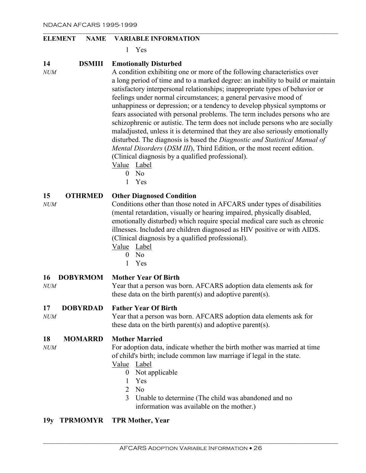#### **ELEMENT NAME VARIABLE INFORMATION**

1 Yes

#### **14 DSMIII Emotionally Disturbed**

| NUM | A condition exhibiting one or more of the following characteristics over        |
|-----|---------------------------------------------------------------------------------|
|     | a long period of time and to a marked degree: an inability to build or maintain |
|     | satisfactory interpersonal relationships; inappropriate types of behavior or    |
|     | feelings under normal circumstances; a general pervasive mood of                |
|     | unhappiness or depression; or a tendency to develop physical symptoms or        |
|     | fears associated with personal problems. The term includes persons who are      |
|     | schizophrenic or autistic. The term does not include persons who are socially   |
|     | maladjusted, unless it is determined that they are also seriously emotionally   |
|     | disturbed. The diagnosis is based the Diagnostic and Statistical Manual of      |
|     | Mental Disorders (DSM III), Third Edition, or the most recent edition.          |
|     | (Clinical diagnosis by a qualified professional).                               |

- Value Label
	- $0$  No
	- 1 Yes

#### **15 OTHRMED Other Diagnosed Condition**

| NUM | Conditions other than those noted in AFCARS under types of disabilities   |
|-----|---------------------------------------------------------------------------|
|     | (mental retardation, visually or hearing impaired, physically disabled,   |
|     | emotionally disturbed) which require special medical care such as chronic |
|     | illnesses. Included are children diagnosed as HIV positive or with AIDS.  |
|     | (Clinical diagnosis by a qualified professional).                         |
|     |                                                                           |

\_\_\_\_\_\_\_\_\_\_\_\_\_\_\_\_\_\_\_\_\_\_\_\_\_\_\_\_\_\_\_\_\_\_\_\_\_\_\_\_\_\_\_\_\_\_\_\_\_\_\_\_\_\_\_\_\_\_\_\_\_\_\_\_\_\_\_\_\_\_\_\_\_\_\_\_\_\_\_\_\_\_\_\_\_\_\_\_\_\_\_\_\_\_\_\_\_\_

#### Value Label

- $0$  No
- 1 Yes

#### **16 DOBYRMOM Mother Year Of Birth**

*NUM* **Example 2** Year that a person was born. AFCARS adoption data elements ask for these data on the birth parent(s) and adoptive parent(s).

#### **17 DOBYRDAD Father Year Of Birth**

*NUM* **Example 2** Year that a person was born. AFCARS adoption data elements ask for these data on the birth parent(s) and adoptive parent(s).

#### **18 MOMARRD Mother Married**

*NUM* **For adoption data, indicate whether the birth mother was married at time** of child's birth; include common law marriage if legal in the state.

# Value Label

- 0 Not applicable
- 1 Yes
- 2 No
- 3 Unable to determine (The child was abandoned and no information was available on the mother.)

#### **19y TPRMOMYR TPR Mother, Year**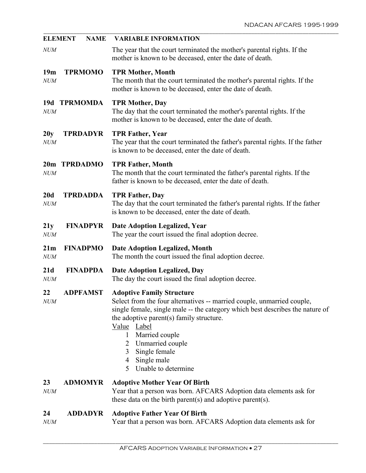|                   | <b>ELEMENT</b><br><b>NAME</b> | <b>VARIABLE INFORMATION</b>                                                                                                                                                                                                                                                                                                                                                  |
|-------------------|-------------------------------|------------------------------------------------------------------------------------------------------------------------------------------------------------------------------------------------------------------------------------------------------------------------------------------------------------------------------------------------------------------------------|
| NUM               |                               | The year that the court terminated the mother's parental rights. If the<br>mother is known to be deceased, enter the date of death.                                                                                                                                                                                                                                          |
| 19m<br>NUM        | <b>TPRMOMO</b>                | <b>TPR Mother, Month</b><br>The month that the court terminated the mother's parental rights. If the<br>mother is known to be deceased, enter the date of death.                                                                                                                                                                                                             |
| NUM               | 19d TPRMOMDA                  | <b>TPR Mother, Day</b><br>The day that the court terminated the mother's parental rights. If the<br>mother is known to be deceased, enter the date of death.                                                                                                                                                                                                                 |
| 20y<br>NUM        | <b>TPRDADYR</b>               | <b>TPR Father, Year</b><br>The year that the court terminated the father's parental rights. If the father<br>is known to be deceased, enter the date of death.                                                                                                                                                                                                               |
| NUM               | 20m TPRDADMO                  | <b>TPR Father, Month</b><br>The month that the court terminated the father's parental rights. If the<br>father is known to be deceased, enter the date of death.                                                                                                                                                                                                             |
| 20d<br>NUM        | <b>TPRDADDA</b>               | <b>TPR Father, Day</b><br>The day that the court terminated the father's parental rights. If the father<br>is known to be deceased, enter the date of death.                                                                                                                                                                                                                 |
| 21y<br><b>NUM</b> | <b>FINADPYR</b>               | <b>Date Adoption Legalized, Year</b><br>The year the court issued the final adoption decree.                                                                                                                                                                                                                                                                                 |
| 21m<br>NUM        | <b>FINADPMO</b>               | <b>Date Adoption Legalized, Month</b><br>The month the court issued the final adoption decree.                                                                                                                                                                                                                                                                               |
| 21d<br>$\it NUM$  | <b>FINADPDA</b>               | <b>Date Adoption Legalized, Day</b><br>The day the court issued the final adoption decree.                                                                                                                                                                                                                                                                                   |
| 22<br><b>NUM</b>  | <b>ADPFAMST</b>               | <b>Adoptive Family Structure</b><br>Select from the four alternatives -- married couple, unmarried couple,<br>single female, single male -- the category which best describes the nature of<br>the adoptive parent(s) family structure.<br>Value Label<br>Married couple<br>1<br>Unmarried couple<br>2<br>Single female<br>3<br>Single male<br>4<br>Unable to determine<br>5 |
| 23<br><b>NUM</b>  | <b>ADMOMYR</b>                | <b>Adoptive Mother Year Of Birth</b><br>Year that a person was born. AFCARS Adoption data elements ask for<br>these data on the birth parent(s) and adoptive parent(s).                                                                                                                                                                                                      |
| 24<br><b>NUM</b>  | <b>ADDADYR</b>                | <b>Adoptive Father Year Of Birth</b><br>Year that a person was born. AFCARS Adoption data elements ask for                                                                                                                                                                                                                                                                   |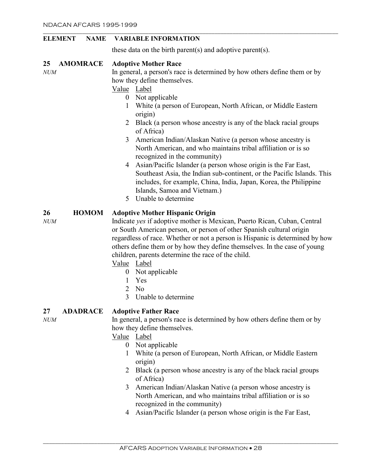#### **ELEMENT NAME VARIABLE INFORMATION**

these data on the birth parent(s) and adoptive parent(s).

\_\_\_\_\_\_\_\_\_\_\_\_\_\_\_\_\_\_\_\_\_\_\_\_\_\_\_\_\_\_\_\_\_\_\_\_\_\_\_\_\_\_\_\_\_\_\_\_\_\_\_\_\_\_\_\_\_\_\_\_\_\_\_\_\_\_\_\_\_\_\_\_\_\_\_\_\_\_\_\_\_\_\_\_\_\_\_\_\_\_\_\_\_\_\_\_\_\_

#### **25 AMOMRACE Adoptive Mother Race**

**NUM** 

In general, a person's race is determined by how others define them or by how they define themselves.

Value Label

- 0 Not applicable
- 1 White (a person of European, North African, or Middle Eastern origin)
- 2 Black (a person whose ancestry is any of the black racial groups of Africa)
- 3 American Indian/Alaskan Native (a person whose ancestry is North American, and who maintains tribal affiliation or is so recognized in the community)
- 4 Asian/Pacific Islander (a person whose origin is the Far East, Southeast Asia, the Indian sub-continent, or the Pacific Islands. This includes, for example, China, India, Japan, Korea, the Philippine Islands, Samoa and Vietnam.)
- 5 Unable to determine

#### **26 HOMOM Adoptive Mother Hispanic Origin**

 $NUM$ 

*Indicate yes* if adoptive mother is Mexican, Puerto Rican, Cuban, Central or South American person, or person of other Spanish cultural origin regardless of race. Whether or not a person is Hispanic is determined by how others define them or by how they define themselves. In the case of young children, parents determine the race of the child.

Value Label

- 0 Not applicable
- 1 Yes
- 2 No
- 3 Unable to determine

#### **27 ADADRACE Adoptive Father Race**

 $NUM$ 

In general, a person's race is determined by how others define them or by how they define themselves.

Value Label

- 0 Not applicable
- 1 White (a person of European, North African, or Middle Eastern origin)
- 2 Black (a person whose ancestry is any of the black racial groups of Africa)
- 3 American Indian/Alaskan Native (a person whose ancestry is North American, and who maintains tribal affiliation or is so recognized in the community)
- 4 Asian/Pacific Islander (a person whose origin is the Far East,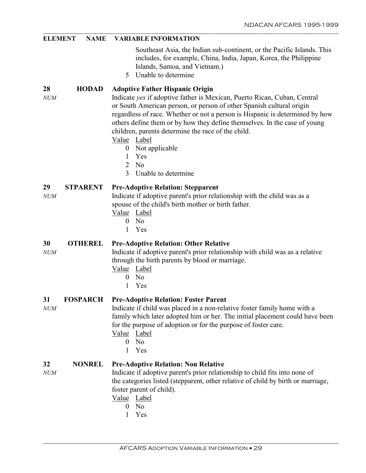Southeast Asia, the Indian sub-continent, or the Pacific Islands. This includes, for example, China, India, Japan, Korea, the Philippine Islands, Samoa, and Vietnam.)

 $\overrightarrow{L}$  Unable to determine

 $\overline{a_1}$  ,  $\overline{a_2}$  ,  $\overline{a_3}$  ,  $\overline{a_4}$  ,  $\overline{a_5}$  ,  $\overline{a_6}$  ,  $\overline{a_7}$  ,  $\overline{a_8}$  ,  $\overline{a_9}$  ,  $\overline{a_9}$  ,  $\overline{a_9}$  ,  $\overline{a_9}$  ,  $\overline{a_9}$  ,  $\overline{a_9}$  ,  $\overline{a_9}$  ,  $\overline{a_9}$  ,  $\overline{a_9}$  ,

|                  |                 | Unable to determine<br>$\mathcal{D}$                                                                                                                                                                                                                                                                                                                                                                                                                                                                                         |
|------------------|-----------------|------------------------------------------------------------------------------------------------------------------------------------------------------------------------------------------------------------------------------------------------------------------------------------------------------------------------------------------------------------------------------------------------------------------------------------------------------------------------------------------------------------------------------|
| 28<br>NUM        | <b>HODAD</b>    | <b>Adoptive Father Hispanic Origin</b><br>Indicate yes if adoptive father is Mexican, Puerto Rican, Cuban, Central<br>or South American person, or person of other Spanish cultural origin<br>regardless of race. Whether or not a person is Hispanic is determined by how<br>others define them or by how they define themselves. In the case of young<br>children, parents determine the race of the child.<br>Value Label<br>0 Not applicable<br>Yes<br>1<br>$\overline{2}$<br>N <sub>0</sub><br>3<br>Unable to determine |
| 29<br><b>NUM</b> | <b>STPARENT</b> | <b>Pre-Adoptive Relation: Stepparent</b><br>Indicate if adoptive parent's prior relationship with the child was as a<br>spouse of the child's birth mother or birth father.<br>Value Label<br>N <sub>0</sub><br>$\overline{0}$<br>1<br>Yes                                                                                                                                                                                                                                                                                   |
| 30<br>NUM        | <b>OTHEREL</b>  | <b>Pre-Adoptive Relation: Other Relative</b><br>Indicate if adoptive parent's prior relationship with child was as a relative<br>through the birth parents by blood or marriage.<br>Value Label<br>No<br>$\overline{0}$<br>Yes<br>1                                                                                                                                                                                                                                                                                          |
| 31<br>NUM        | <b>FOSPARCH</b> | <b>Pre-Adoptive Relation: Foster Parent</b><br>Indicate if child was placed in a non-relative foster family home with a<br>family which later adopted him or her. The initial placement could have been<br>for the purpose of adoption or for the purpose of foster care.<br>Value Label<br>$0$ No<br>Yes<br>1                                                                                                                                                                                                               |
| 32<br>NUM        | <b>NONREL</b>   | <b>Pre-Adoptive Relation: Non Relative</b><br>Indicate if adoptive parent's prior relationship to child fits into none of<br>the categories listed (stepparent, other relative of child by birth or marriage,<br>foster parent of child).<br>Value Label<br>N <sub>0</sub><br>$\overline{0}$<br>Yes                                                                                                                                                                                                                          |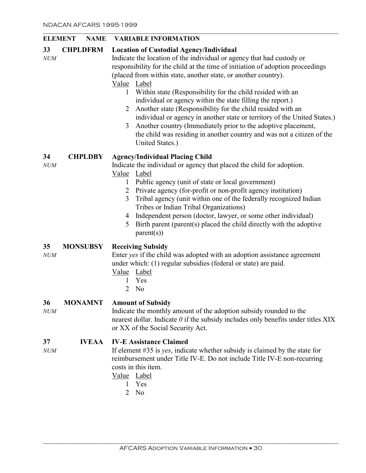| <b>ELEMENT</b>   | <b>NAME</b>     | <b>VARIABLE INFORMATION</b>                                                                                                                                                                                                                                                                                                                                                                                                                                                                                                                                                                                                                                                                                                                                  |
|------------------|-----------------|--------------------------------------------------------------------------------------------------------------------------------------------------------------------------------------------------------------------------------------------------------------------------------------------------------------------------------------------------------------------------------------------------------------------------------------------------------------------------------------------------------------------------------------------------------------------------------------------------------------------------------------------------------------------------------------------------------------------------------------------------------------|
| 33<br>NUM        | <b>CHPLDFRM</b> | <b>Location of Custodial Agency/Individual</b><br>Indicate the location of the individual or agency that had custody or<br>responsibility for the child at the time of initiation of adoption proceedings<br>(placed from within state, another state, or another country).<br>Value Label<br>Within state (Responsibility for the child resided with an<br>1<br>individual or agency within the state filling the report.)<br>Another state (Responsibility for the child resided with an<br>$\overline{2}$<br>individual or agency in another state or territory of the United States.)<br>Another country (Immediately prior to the adoptive placement,<br>3<br>the child was residing in another country and was not a citizen of the<br>United States.) |
| 34<br>NUM        | <b>CHPLDBY</b>  | <b>Agency/Individual Placing Child</b><br>Indicate the individual or agency that placed the child for adoption.<br>Value Label<br>Public agency (unit of state or local government)<br>1<br>2 Private agency (for-profit or non-profit agency institution)<br>Tribal agency (unit within one of the federally recognized Indian<br>3<br>Tribes or Indian Tribal Organizations)<br>Independent person (doctor, lawyer, or some other individual)<br>4<br>Birth parent (parent(s) placed the child directly with the adoptive<br>5<br>parent(s))                                                                                                                                                                                                               |
| 35<br>NUM        | <b>MONSUBSY</b> | <b>Receiving Subsidy</b><br>Enter yes if the child was adopted with an adoption assistance agreement<br>under which: (1) regular subsidies (federal or state) are paid.<br>Value Label<br>Yes<br>1<br>$\overline{2}$<br>N <sub>o</sub>                                                                                                                                                                                                                                                                                                                                                                                                                                                                                                                       |
| 36<br><b>NUM</b> | MONAMNT         | <b>Amount of Subsidy</b><br>Indicate the monthly amount of the adoption subsidy rounded to the<br>nearest dollar. Indicate $\theta$ if the subsidy includes only benefits under titles XIX<br>or XX of the Social Security Act.                                                                                                                                                                                                                                                                                                                                                                                                                                                                                                                              |
| 37<br>NUM        | <b>IVEAA</b>    | <b>IV-E Assistance Claimed</b><br>If element $#35$ is <i>yes</i> , indicate whether subsidy is claimed by the state for<br>reimbursement under Title IV-E. Do not include Title IV-E non-recurring<br>costs in this item.<br>Value Label<br>Yes<br>1<br>2<br>N <sub>0</sub>                                                                                                                                                                                                                                                                                                                                                                                                                                                                                  |

\_\_\_\_\_\_\_\_\_\_\_\_\_\_\_\_\_\_\_\_\_\_\_\_\_\_\_\_\_\_\_\_\_\_\_\_\_\_\_\_\_\_\_\_\_\_\_\_\_\_\_\_\_\_\_\_\_\_\_\_\_\_\_\_\_\_\_\_\_\_\_\_\_\_\_\_\_\_\_\_\_\_\_\_\_\_\_\_\_\_\_\_\_\_\_\_\_\_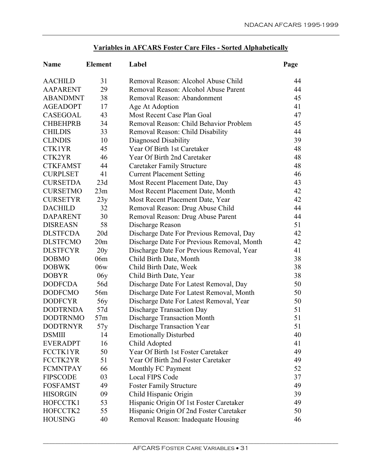# **Variables in AFCARS Foster Care Files - Sorted Alphabetically**

<span id="page-32-0"></span>

| <b>Name</b>     | <b>Element</b>  | Label                                      | Page |
|-----------------|-----------------|--------------------------------------------|------|
| <b>AACHILD</b>  | 31              | Removal Reason: Alcohol Abuse Child        | 44   |
| <b>AAPARENT</b> | 29              | Removal Reason: Alcohol Abuse Parent       | 44   |
| <b>ABANDMNT</b> | 38              | Removal Reason: Abandonment                | 45   |
| <b>AGEADOPT</b> | 17              | Age At Adoption                            | 41   |
| CASEGOAL        | 43              | Most Recent Case Plan Goal                 | 47   |
| <b>CHBEHPRB</b> | 34              | Removal Reason: Child Behavior Problem     | 45   |
| <b>CHILDIS</b>  | 33              | Removal Reason: Child Disability           | 44   |
| <b>CLINDIS</b>  | 10              | Diagnosed Disability                       | 39   |
| <b>CTK1YR</b>   | 45              | Year Of Birth 1st Caretaker                | 48   |
| CTK2YR          | 46              | Year Of Birth 2nd Caretaker                | 48   |
| <b>CTKFAMST</b> | 44              | Caretaker Family Structure                 | 48   |
| <b>CURPLSET</b> | 41              | <b>Current Placement Setting</b>           | 46   |
| <b>CURSETDA</b> | 23d             | Most Recent Placement Date, Day            | 43   |
| <b>CURSETMO</b> | 23m             | Most Recent Placement Date, Month          | 42   |
| <b>CURSETYR</b> | 23y             | Most Recent Placement Date, Year           | 42   |
| <b>DACHILD</b>  | 32              | Removal Reason: Drug Abuse Child           | 44   |
| <b>DAPARENT</b> | 30              | Removal Reason: Drug Abuse Parent          | 44   |
| <b>DISREASN</b> | 58              | Discharge Reason                           | 51   |
| <b>DLSTFCDA</b> | 20d             | Discharge Date For Previous Removal, Day   | 42   |
| <b>DLSTFCMO</b> | 20m             | Discharge Date For Previous Removal, Month | 42   |
| <b>DLSTFCYR</b> | 20y             | Discharge Date For Previous Removal, Year  | 41   |
| <b>DOBMO</b>    | 06m             | Child Birth Date, Month                    | 38   |
| <b>DOBWK</b>    | 06w             | Child Birth Date, Week                     | 38   |
| <b>DOBYR</b>    | 06y             | Child Birth Date, Year                     | 38   |
| <b>DODFCDA</b>  | 56d             | Discharge Date For Latest Removal, Day     | 50   |
| <b>DODFCMO</b>  | 56m             | Discharge Date For Latest Removal, Month   | 50   |
| <b>DODFCYR</b>  | 56 <sub>y</sub> | Discharge Date For Latest Removal, Year    | 50   |
| <b>DODTRNDA</b> | 57d             | <b>Discharge Transaction Day</b>           | 51   |
| <b>DODTRNMO</b> | 57m             | <b>Discharge Transaction Month</b>         | 51   |
| DODTRNYR        | 57y             | <b>Discharge Transaction Year</b>          | 51   |
| <b>DSMIII</b>   | 14              | <b>Emotionally Disturbed</b>               | 40   |
| <b>EVERADPT</b> | 16              | Child Adopted                              | 41   |
| FCCTK1YR        | 50              | Year Of Birth 1st Foster Caretaker         | 49   |
| FCCTK2YR        | 51              | Year Of Birth 2nd Foster Caretaker         | 49   |
| <b>FCMNTPAY</b> | 66              | Monthly FC Payment                         | 52   |
| <b>FIPSCODE</b> | 03              | <b>Local FIPS Code</b>                     | 37   |
| <b>FOSFAMST</b> | 49              | <b>Foster Family Structure</b>             | 49   |
| <b>HISORGIN</b> | 09              | Child Hispanic Origin                      | 39   |
| HOFCCTK1        | 53              | Hispanic Origin Of 1st Foster Caretaker    | 49   |
| HOFCCTK2        | 55              | Hispanic Origin Of 2nd Foster Caretaker    | 50   |
| <b>HOUSING</b>  | 40              | Removal Reason: Inadequate Housing         | 46   |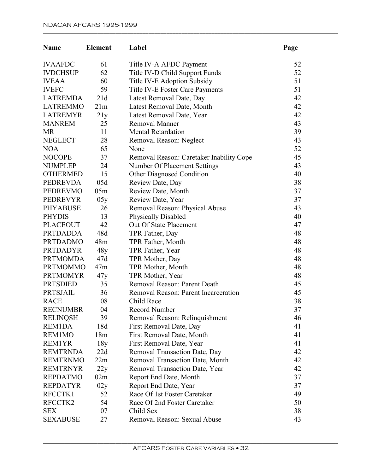#### NDACAN AFCARS 1995-1999

| <b>Name</b>     | <b>Element</b> | Label                                    | Page |
|-----------------|----------------|------------------------------------------|------|
| <b>IVAAFDC</b>  | 61             | Title IV-A AFDC Payment                  | 52   |
| <b>IVDCHSUP</b> | 62             | Title IV-D Child Support Funds           | 52   |
| <b>IVEAA</b>    | 60             | Title IV-E Adoption Subsidy              | 51   |
| <b>IVEFC</b>    | 59             | Title IV-E Foster Care Payments          | 51   |
| <b>LATREMDA</b> | 21d            | Latest Removal Date, Day                 | 42   |
| <b>LATREMMO</b> | 21m            | Latest Removal Date, Month               | 42   |
| <b>LATREMYR</b> | 21y            | Latest Removal Date, Year                | 42   |
| <b>MANREM</b>   | 25             | Removal Manner                           | 43   |
| <b>MR</b>       | 11             | <b>Mental Retardation</b>                | 39   |
| <b>NEGLECT</b>  | 28             | Removal Reason: Neglect                  | 43   |
| <b>NOA</b>      | 65             | None                                     | 52   |
| <b>NOCOPE</b>   | 37             | Removal Reason: Caretaker Inability Cope | 45   |
| <b>NUMPLEP</b>  | 24             | <b>Number Of Placement Settings</b>      | 43   |
| <b>OTHERMED</b> | 15             | <b>Other Diagnosed Condition</b>         | 40   |
| <b>PEDREVDA</b> | 05d            | Review Date, Day                         | 38   |
| <b>PEDREVMO</b> | 05m            | Review Date, Month                       | 37   |
| <b>PEDREVYR</b> | 05y            | Review Date, Year                        | 37   |
| <b>PHYABUSE</b> | 26             | Removal Reason: Physical Abuse           | 43   |
| <b>PHYDIS</b>   | 13             | <b>Physically Disabled</b>               | 40   |
| <b>PLACEOUT</b> | 42             | Out Of State Placement                   | 47   |
| <b>PRTDADDA</b> | 48d            | TPR Father, Day                          | 48   |
| <b>PRTDADMO</b> | 48m            | TPR Father, Month                        | 48   |
| <b>PRTDADYR</b> | 48y            | TPR Father, Year                         | 48   |
| <b>PRTMOMDA</b> | 47d            | TPR Mother, Day                          | 48   |
| <b>PRTMOMMO</b> | 47m            | TPR Mother, Month                        | 48   |
| <b>PRTMOMYR</b> | 47y            | TPR Mother, Year                         | 48   |
| <b>PRTSDIED</b> | 35             | Removal Reason: Parent Death             | 45   |
| <b>PRTSJAIL</b> | 36             | Removal Reason: Parent Incarceration     | 45   |
| <b>RACE</b>     | 08             | Child Race                               | 38   |
| <b>RECNUMBR</b> | 04             | Record Number                            | 37   |
| <b>RELINQSH</b> | 39             | Removal Reason: Relinquishment           | 46   |
| REM1DA          | 18d            | First Removal Date, Day                  | 41   |
| <b>REM1MO</b>   | 18m            | First Removal Date, Month                | 41   |
| <b>REM1YR</b>   | 18y            | First Removal Date, Year                 | 41   |
| <b>REMTRNDA</b> | 22d            | Removal Transaction Date, Day            | 42   |
| <b>REMTRNMO</b> | 22m            | Removal Transaction Date, Month          | 42   |
| <b>REMTRNYR</b> | 22y            | Removal Transaction Date, Year           | 42   |
| <b>REPDATMO</b> | 02m            | Report End Date, Month                   | 37   |
| <b>REPDATYR</b> | 02y            | Report End Date, Year                    | 37   |
| RFCCTK1         | 52             | Race Of 1st Foster Caretaker             | 49   |
| RFCCTK2         | 54             | Race Of 2nd Foster Caretaker             | 50   |
| <b>SEX</b>      | 07             | Child Sex                                | 38   |
| <b>SEXABUSE</b> | 27             | Removal Reason: Sexual Abuse             | 43   |

\_\_\_\_\_\_\_\_\_\_\_\_\_\_\_\_\_\_\_\_\_\_\_\_\_\_\_\_\_\_\_\_\_\_\_\_\_\_\_\_\_\_\_\_\_\_\_\_\_\_\_\_\_\_\_\_\_\_\_\_\_\_\_\_\_\_\_\_\_\_\_\_\_\_\_\_\_\_\_\_\_\_\_\_\_\_\_\_\_\_\_\_\_\_\_\_\_\_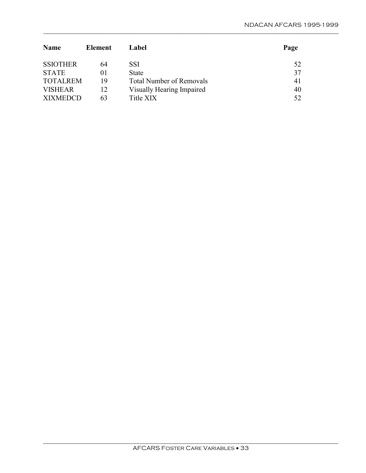| <b>Name</b>     | <b>Element</b> | Label                           | Page |
|-----------------|----------------|---------------------------------|------|
| <b>SSIOTHER</b> | 64             | <b>SSI</b>                      | 52   |
| <b>STATE</b>    | 01             | <b>State</b>                    | 37   |
| <b>TOTALREM</b> | 19             | <b>Total Number of Removals</b> | 41   |
| <b>VISHEAR</b>  | 12             | Visually Hearing Impaired       | 40   |
| <b>XIXMEDCD</b> | 63             | Title XIX                       | 52   |

 $\overline{a_1}$  ,  $\overline{a_2}$  ,  $\overline{a_3}$  ,  $\overline{a_4}$  ,  $\overline{a_5}$  ,  $\overline{a_6}$  ,  $\overline{a_7}$  ,  $\overline{a_8}$  ,  $\overline{a_9}$  ,  $\overline{a_9}$  ,  $\overline{a_9}$  ,  $\overline{a_9}$  ,  $\overline{a_9}$  ,  $\overline{a_9}$  ,  $\overline{a_9}$  ,  $\overline{a_9}$  ,  $\overline{a_9}$  ,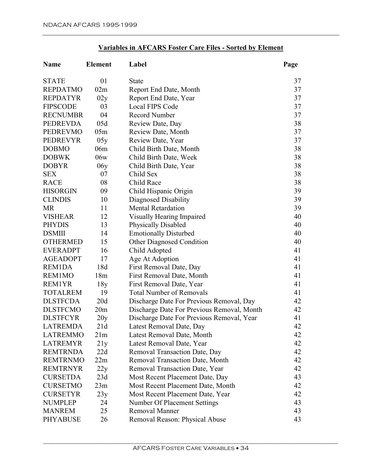<span id="page-35-0"></span>

| <b>Name</b>     | <b>Element</b> | Label                                      | Page |
|-----------------|----------------|--------------------------------------------|------|
| <b>STATE</b>    | 01             | <b>State</b>                               | 37   |
| <b>REPDATMO</b> | 02m            | Report End Date, Month                     | 37   |
| <b>REPDATYR</b> | 02y            | Report End Date, Year                      | 37   |
| <b>FIPSCODE</b> | 03             | <b>Local FIPS Code</b>                     | 37   |
| <b>RECNUMBR</b> | 04             | <b>Record Number</b>                       | 37   |
| <b>PEDREVDA</b> | 05d            | Review Date, Day                           | 38   |
| <b>PEDREVMO</b> | 05m            | Review Date, Month                         | 37   |
| <b>PEDREVYR</b> | 05y            | Review Date, Year                          | 37   |
| <b>DOBMO</b>    | 06m            | Child Birth Date, Month                    | 38   |
| <b>DOBWK</b>    | 06w            | Child Birth Date, Week                     | 38   |
| <b>DOBYR</b>    | 06y            | Child Birth Date, Year                     | 38   |
| <b>SEX</b>      | 07             | Child Sex                                  | 38   |
| <b>RACE</b>     | 08             | Child Race                                 | 38   |
| <b>HISORGIN</b> | 09             | Child Hispanic Origin                      | 39   |
| <b>CLINDIS</b>  | 10             | Diagnosed Disability                       | 39   |
| <b>MR</b>       | 11             | <b>Mental Retardation</b>                  | 39   |
| <b>VISHEAR</b>  | 12             | Visually Hearing Impaired                  | 40   |
| <b>PHYDIS</b>   | 13             | <b>Physically Disabled</b>                 | 40   |
| <b>DSMIII</b>   | 14             | <b>Emotionally Disturbed</b>               | 40   |
| <b>OTHERMED</b> | 15             | <b>Other Diagnosed Condition</b>           | 40   |
| <b>EVERADPT</b> | 16             | Child Adopted                              | 41   |
| <b>AGEADOPT</b> | 17             | Age At Adoption                            | 41   |
| <b>REM1DA</b>   | 18d            | First Removal Date, Day                    | 41   |
| REM1MO          | 18m            | First Removal Date, Month                  | 41   |
| <b>REM1YR</b>   | 18y            | First Removal Date, Year                   | 41   |
| <b>TOTALREM</b> | 19             | <b>Total Number of Removals</b>            | 41   |
| <b>DLSTFCDA</b> | 20d            | Discharge Date For Previous Removal, Day   | 42   |
| <b>DLSTFCMO</b> | 20m            | Discharge Date For Previous Removal, Month | 42   |
| <b>DLSTFCYR</b> | 20y            | Discharge Date For Previous Removal, Year  | 41   |
| <b>LATREMDA</b> | 21d            | Latest Removal Date, Day                   | 42   |
| <b>LATREMMO</b> | 21m            | Latest Removal Date, Month                 | 42   |
| <b>LATREMYR</b> | 21y            | Latest Removal Date, Year                  | 42   |
| <b>REMTRNDA</b> | 22d            | Removal Transaction Date, Day              | 42   |
| <b>REMTRNMO</b> | 22m            | Removal Transaction Date, Month            | 42   |
| <b>REMTRNYR</b> | 22y            | Removal Transaction Date, Year             | 42   |
| <b>CURSETDA</b> | 23d            | Most Recent Placement Date, Day            | 43   |
| <b>CURSETMO</b> | 23m            | Most Recent Placement Date, Month          | 42   |
| <b>CURSETYR</b> | 23y            | Most Recent Placement Date, Year           | 42   |
| <b>NUMPLEP</b>  | 24             | Number Of Placement Settings               | 43   |
| <b>MANREM</b>   | 25             | Removal Manner                             | 43   |
| <b>PHYABUSE</b> | 26             | Removal Reason: Physical Abuse             | 43   |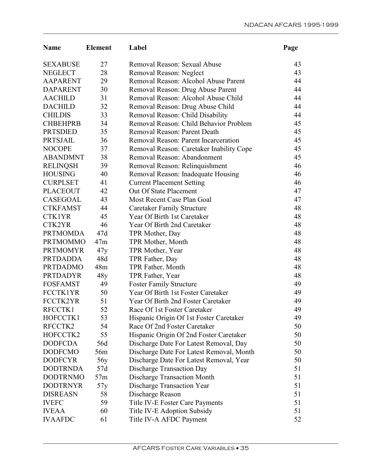| <b>Name</b>     | <b>Element</b> | Label                                    | Page |
|-----------------|----------------|------------------------------------------|------|
| <b>SEXABUSE</b> | 27             | Removal Reason: Sexual Abuse             | 43   |
| <b>NEGLECT</b>  | 28             | Removal Reason: Neglect                  | 43   |
| <b>AAPARENT</b> | 29             | Removal Reason: Alcohol Abuse Parent     | 44   |
| <b>DAPARENT</b> | 30             | Removal Reason: Drug Abuse Parent        | 44   |
| <b>AACHILD</b>  | 31             | Removal Reason: Alcohol Abuse Child      | 44   |
| <b>DACHILD</b>  | 32             | Removal Reason: Drug Abuse Child         | 44   |
| <b>CHILDIS</b>  | 33             | Removal Reason: Child Disability         | 44   |
| <b>CHBEHPRB</b> | 34             | Removal Reason: Child Behavior Problem   | 45   |
| <b>PRTSDIED</b> | 35             | Removal Reason: Parent Death             | 45   |
| <b>PRTSJAIL</b> | 36             | Removal Reason: Parent Incarceration     | 45   |
| <b>NOCOPE</b>   | 37             | Removal Reason: Caretaker Inability Cope | 45   |
| <b>ABANDMNT</b> | 38             | Removal Reason: Abandonment              | 45   |
| <b>RELINQSH</b> | 39             | Removal Reason: Relinquishment           | 46   |
| <b>HOUSING</b>  | 40             | Removal Reason: Inadequate Housing       | 46   |
| <b>CURPLSET</b> | 41             | <b>Current Placement Setting</b>         | 46   |
| <b>PLACEOUT</b> | 42             | Out Of State Placement                   | 47   |
| CASEGOAL        | 43             | Most Recent Case Plan Goal               | 47   |
| <b>CTKFAMST</b> | 44             | <b>Caretaker Family Structure</b>        | 48   |
| <b>CTK1YR</b>   | 45             | Year Of Birth 1st Caretaker              | 48   |
| CTK2YR          | 46             | Year Of Birth 2nd Caretaker              | 48   |
| <b>PRTMOMDA</b> | 47d            | TPR Mother, Day                          | 48   |
| <b>PRTMOMMO</b> | 47m            | TPR Mother, Month                        | 48   |
| <b>PRTMOMYR</b> | 47y            | TPR Mother, Year                         | 48   |
| <b>PRTDADDA</b> | 48d            | TPR Father, Day                          | 48   |
| <b>PRTDADMO</b> | 48m            | TPR Father, Month                        | 48   |
| <b>PRTDADYR</b> | 48y            | TPR Father, Year                         | 48   |
| <b>FOSFAMST</b> | 49             | <b>Foster Family Structure</b>           | 49   |
| FCCTK1YR        | 50             | Year Of Birth 1st Foster Caretaker       | 49   |
| FCCTK2YR        | 51             | Year Of Birth 2nd Foster Caretaker       | 49   |
| RFCCTK1         | 52             | Race Of 1st Foster Caretaker             | 49   |
| HOFCCTK1        | 53             | Hispanic Origin Of 1st Foster Caretaker  | 49   |
| RFCCTK2         | 54             | Race Of 2nd Foster Caretaker             | 50   |
| HOFCCTK2        | 55             | Hispanic Origin Of 2nd Foster Caretaker  | 50   |
| <b>DODFCDA</b>  | 56d            | Discharge Date For Latest Removal, Day   | 50   |
| <b>DODFCMO</b>  | 56m            | Discharge Date For Latest Removal, Month | 50   |
| <b>DODFCYR</b>  | 56y            | Discharge Date For Latest Removal, Year  | 50   |
| <b>DODTRNDA</b> | 57d            | Discharge Transaction Day                | 51   |
| <b>DODTRNMO</b> | 57m            | <b>Discharge Transaction Month</b>       | 51   |
| <b>DODTRNYR</b> | 57y            | Discharge Transaction Year               | 51   |
| <b>DISREASN</b> | 58             | Discharge Reason                         | 51   |
| <b>IVEFC</b>    | 59             | Title IV-E Foster Care Payments          | 51   |
| <b>IVEAA</b>    | 60             | Title IV-E Adoption Subsidy              | 51   |
| <b>IVAAFDC</b>  | 61             | Title IV-A AFDC Payment                  | 52   |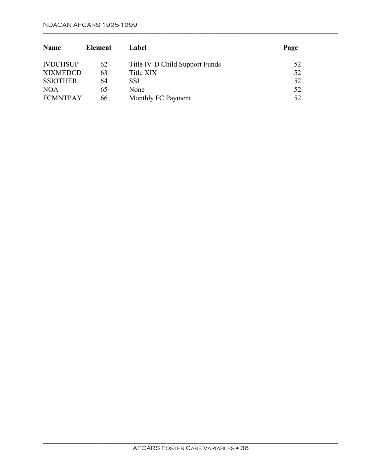| <b>Name</b>     | <b>Element</b> | Label                          | Page |
|-----------------|----------------|--------------------------------|------|
| <b>IVDCHSUP</b> | 62             | Title IV-D Child Support Funds | 52   |
| <b>XIXMEDCD</b> | 63             | Title XIX                      | 52   |
| <b>SSIOTHER</b> | 64             | <b>SSI</b>                     | 52   |
| <b>NOA</b>      | 65             | None                           | 52   |
| <b>FCMNTPAY</b> | 66             | Monthly FC Payment             | 52   |

\_\_\_\_\_\_\_\_\_\_\_\_\_\_\_\_\_\_\_\_\_\_\_\_\_\_\_\_\_\_\_\_\_\_\_\_\_\_\_\_\_\_\_\_\_\_\_\_\_\_\_\_\_\_\_\_\_\_\_\_\_\_\_\_\_\_\_\_\_\_\_\_\_\_\_\_\_\_\_\_\_\_\_\_\_\_\_\_\_\_\_\_\_\_\_\_\_\_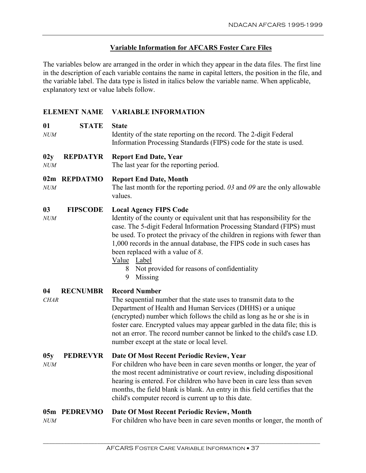# **Variable Information for AFCARS Foster Care Files**

<span id="page-38-0"></span>The variables below are arranged in the order in which they appear in the data files. The first line in the description of each variable contains the name in capital letters, the position in the file, and the variable label. The data type is listed in italics below the variable name. When applicable, explanatory text or value labels follow.

### **ELEMENT NAME VARIABLE INFORMATION**

| 01<br><b>NUM</b>  | <b>STATE</b>    | <b>State</b><br>Identity of the state reporting on the record. The 2-digit Federal<br>Information Processing Standards (FIPS) code for the state is used.                                                                                                                                                                                                                                                                                                            |
|-------------------|-----------------|----------------------------------------------------------------------------------------------------------------------------------------------------------------------------------------------------------------------------------------------------------------------------------------------------------------------------------------------------------------------------------------------------------------------------------------------------------------------|
| 02y<br>NUM        | <b>REPDATYR</b> | <b>Report End Date, Year</b><br>The last year for the reporting period.                                                                                                                                                                                                                                                                                                                                                                                              |
| NUM               | 02m REPDATMO    | <b>Report End Date, Month</b><br>The last month for the reporting period. $\theta$ and $\theta$ are the only allowable<br>values.                                                                                                                                                                                                                                                                                                                                    |
| 03<br><b>NUM</b>  | <b>FIPSCODE</b> | <b>Local Agency FIPS Code</b><br>Identity of the county or equivalent unit that has responsibility for the<br>case. The 5-digit Federal Information Processing Standard (FIPS) must<br>be used. To protect the privacy of the children in regions with fewer than<br>1,000 records in the annual database, the FIPS code in such cases has<br>been replaced with a value of $8$ .<br>Value Label<br>Not provided for reasons of confidentiality<br>8<br>Missing<br>9 |
| 04<br><b>CHAR</b> | <b>RECNUMBR</b> | <b>Record Number</b><br>The sequential number that the state uses to transmit data to the<br>Department of Health and Human Services (DHHS) or a unique<br>(encrypted) number which follows the child as long as he or she is in<br>foster care. Encrypted values may appear garbled in the data file; this is<br>not an error. The record number cannot be linked to the child's case I.D.<br>number except at the state or local level.                            |
| 05y<br><b>NUM</b> | <b>PEDREVYR</b> | Date Of Most Recent Periodic Review, Year<br>For children who have been in care seven months or longer, the year of<br>the most recent administrative or court review, including dispositional<br>hearing is entered. For children who have been in care less than seven<br>months, the field blank is blank. An entry in this field certifies that the<br>child's computer record is current up to this date.                                                       |
| 05m<br><i>NUM</i> | <b>PEDREVMO</b> | Date Of Most Recent Periodic Review, Month<br>For children who have been in care seven months or longer, the month of                                                                                                                                                                                                                                                                                                                                                |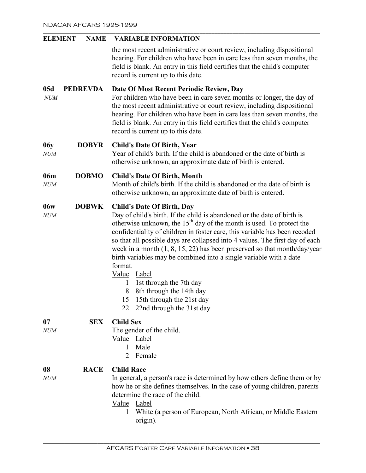#### **ELEMENT NAME VARIABLE INFORMATION**

the most recent administrative or court review, including dispositional hearing. For children who have been in care less than seven months, the field is blank. An entry in this field certifies that the child's computer record is current up to this date.

#### **05d PEDREVDA Date Of Most Recent Periodic Review, Day**

*NUM* For children who have been in care seven months or longer, the day of the most recent administrative or court review, including dispositional hearing. For children who have been in care less than seven months, the field is blank. An entry in this field certifies that the child's computer record is current up to this date.

### **06y DOBYR Child's Date Of Birth, Year**

*NUM* Year of child's birth. If the child is abandoned or the date of birth is otherwise unknown, an approximate date of birth is entered.

\_\_\_\_\_\_\_\_\_\_\_\_\_\_\_\_\_\_\_\_\_\_\_\_\_\_\_\_\_\_\_\_\_\_\_\_\_\_\_\_\_\_\_\_\_\_\_\_\_\_\_\_\_\_\_\_\_\_\_\_\_\_\_\_\_\_\_\_\_\_\_\_\_\_\_\_\_\_\_\_\_\_\_\_\_\_\_\_\_\_\_\_

#### **06m DOBMO Child's Date Of Birth, Month**

*NUM* Month of child's birth. If the child is abandoned or the date of birth is otherwise unknown, an approximate date of birth is entered.

#### **06w DOBWK Child's Date Of Birth, Day**

*NUM* Day of child's birth. If the child is abandoned or the date of birth is otherwise unknown, the  $15<sup>th</sup>$  day of the month is used. To protect the confidentiality of children in foster care, this variable has been recoded so that all possible days are collapsed into 4 values. The first day of each week in a month (1, 8, 15, 22) has been preserved so that month/day/year birth variables may be combined into a single variable with a date format.

Value Label

- 1 1st through the 7th day
- 8 8th through the 14th day
- 15 15th through the 21st day
- 22 22nd through the 31st day

| 07<br>NUM | <b>SEX</b>  | <b>Child Sex</b><br>The gender of the child.<br>Label<br>Value<br>Male<br>2 Female                                                                                                                                                                                                                            |
|-----------|-------------|---------------------------------------------------------------------------------------------------------------------------------------------------------------------------------------------------------------------------------------------------------------------------------------------------------------|
| 08<br>NUM | <b>RACE</b> | <b>Child Race</b><br>In general, a person's race is determined by how others define them or by<br>how he or she defines themselves. In the case of young children, parents<br>determine the race of the child.<br>Label<br>Value<br>White (a person of European, North African, or Middle Eastern<br>origin). |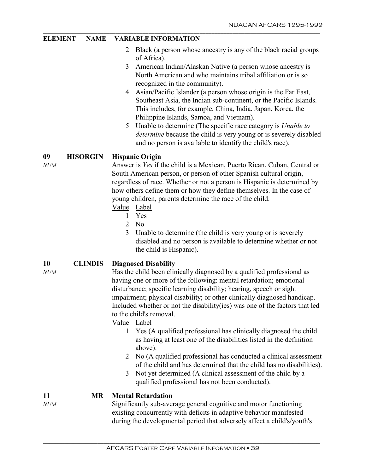#### **ELEMENT NAME VARIABLE INFORMATION**

- 2 Black (a person whose ancestry is any of the black racial groups of Africa).
- 3 American Indian/Alaskan Native (a person whose ancestry is North American and who maintains tribal affiliation or is so recognized in the community).
- 4 Asian/Pacific Islander (a person whose origin is the Far East, Southeast Asia, the Indian sub-continent, or the Pacific Islands. This includes, for example, China, India, Japan, Korea, the Philippine Islands, Samoa, and Vietnam).
- 5 Unable to determine (The specific race category is *Unable to determine* because the child is very young or is severely disabled and no person is available to identify the child's race).

#### **09 HISORGIN Hispanic Origin**

*NUM* 

Answer is *Yes* if the child is a Mexican, Puerto Rican, Cuban, Central or South American person, or person of other Spanish cultural origin, regardless of race. Whether or not a person is Hispanic is determined by how others define them or how they define themselves. In the case of young children, parents determine the race of the child.

## Value Label

- 1 Yes
- 2 No
- 3 Unable to determine (the child is very young or is severely disabled and no person is available to determine whether or not the child is Hispanic).

#### **10 CLINDIS Diagnosed Disability**

*NUM* 

Has the child been clinically diagnosed by a qualified professional as having one or more of the following: mental retardation; emotional disturbance; specific learning disability; hearing, speech or sight impairment; physical disability; or other clinically diagnosed handicap. Included whether or not the disability(ies) was one of the factors that led to the child's removal.

Value Label

- 1 Yes (A qualified professional has clinically diagnosed the child as having at least one of the disabilities listed in the definition above).
- 2 No (A qualified professional has conducted a clinical assessment of the child and has determined that the child has no disabilities).
- 3 Not yet determined (A clinical assessment of the child by a qualified professional has not been conducted).
- **MR Mental Retardation 11**

*NUM* 

 Significantly sub-average general cognitive and motor functioning existing concurrently with deficits in adaptive behavior manifested during the developmental period that adversely affect a child's/youth's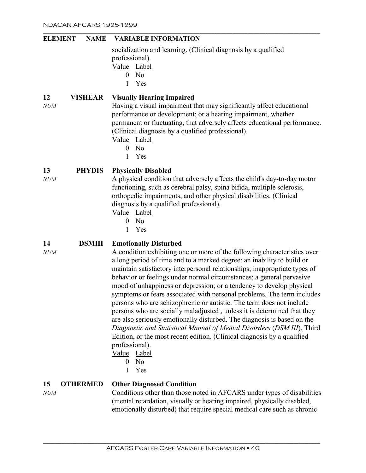| <b>ELEMENT</b> | NAME VARIABLE INFORMATION                                      |
|----------------|----------------------------------------------------------------|
|                | socialization and learning. (Clinical diagnosis by a qualified |
|                | professional).<br>T71 T11                                      |

\_\_\_\_\_\_\_\_\_\_\_\_\_\_\_\_\_\_\_\_\_\_\_\_\_\_\_\_\_\_\_\_\_\_\_\_\_\_\_\_\_\_\_\_\_\_\_\_\_\_\_\_\_\_\_\_\_\_\_\_\_\_\_\_\_\_\_\_\_\_\_\_\_\_\_\_\_\_\_\_\_\_\_\_\_\_\_\_\_\_\_\_

- Value Label 0 No
	- 1 Yes

*NUM* 

#### **12 VISHEAR Visually Hearing Impaired**

Having a visual impairment that may significantly affect educational performance or development; or a hearing impairment, whether permanent or fluctuating, that adversely affects educational performance. (Clinical diagnosis by a qualified professional).

- Value Label
	- $0$  No
	- 1 Yes

#### **13 PHYDIS Physically Disabled**

*NUM* 

# A physical condition that adversely affects the child's day-to-day motor functioning, such as cerebral palsy, spina bifida, multiple sclerosis, orthopedic impairments, and other physical disabilities. (Clinical diagnosis by a qualified professional).

Value Label

- $0$  No
- 1 Yes

#### **14 DSMIII Emotionally Disturbed**

*NUM* 

A condition exhibiting one or more of the following characteristics over a long period of time and to a marked degree: an inability to build or maintain satisfactory interpersonal relationships; inappropriate types of behavior or feelings under normal circumstances; a general pervasive mood of unhappiness or depression; or a tendency to develop physical symptoms or fears associated with personal problems. The term includes persons who are schizophrenic or autistic. The term does not include persons who are socially maladjusted , unless it is determined that they are also seriously emotionally disturbed. The diagnosis is based on the *Diagnostic and Statistical Manual of Mental Disorders* (*DSM III*), Third Edition, or the most recent edition. (Clinical diagnosis by a qualified professional).

# Value Label

- $0$  No
- 1 Yes

#### **15 OTHERMED Other Diagnosed Condition**

*NUM* 

Conditions other than those noted in AFCARS under types of disabilities (mental retardation, visually or hearing impaired, physically disabled, emotionally disturbed) that require special medical care such as chronic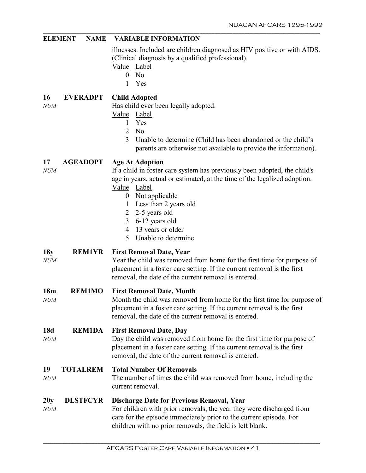#### **ELEMENT NAME VARIABLE INFORMATION**

illnesses. Included are children diagnosed as HIV positive or with AIDS. (Clinical diagnosis by a qualified professional).

\_\_\_\_\_\_\_\_\_\_\_\_\_\_\_\_\_\_\_\_\_\_\_\_\_\_\_\_\_\_\_\_\_\_\_\_\_\_\_\_\_\_\_\_\_\_\_\_\_\_\_\_\_\_\_\_\_\_\_\_\_\_\_\_\_\_\_\_\_\_\_\_\_\_\_\_\_\_\_\_\_\_\_\_\_\_\_\_\_\_\_\_

- Value Label  $0$  No
	- 1 Yes

#### **EVERADPT 16 Child Adopted**

*NUM* 

*NUM* 

Has child ever been legally adopted.

- Value Label
	- 1 Yes
	- 2 No
	- 3 Unable to determine (Child has been abandoned or the child's parents are otherwise not available to provide the information).

#### **17 AGEADOPT Age At Adoption**

If a child in foster care system has previously been adopted, the child's age in years, actual or estimated, at the time of the legalized adoption. Value Label

- 0 Not applicable 1 Less than 2 years old
- 2 2-5 years old
- 3 6-12 years old
- 4 13 years or older
- 5 Unable to determine

#### **18y REM1YR First Removal Date, Year**

- Year the child was removed from home for the first time for purpose of placement in a foster care setting. If the current removal is the first *NUM*  removal, the date of the current removal is entered.
- **18m REM1MO First Removal Date, Month**
- Month the child was removed from home for the first time for purpose of placement in a foster care setting. If the current removal is the first *NUM*  removal, the date of the current removal is entered.

#### **18d REM1DA First Removal Date, Day**

Day the child was removed from home for the first time for purpose of *NUM*  placement in a foster care setting. If the current removal is the first removal, the date of the current removal is entered.

### **19 TOTALREM Total Number Of Removals**

*NUM* The number of times the child was removed from home, including the current removal.

#### **20y DLSTFCYR Discharge Date for Previous Removal, Year**

*NUM*  For children with prior removals, the year they were discharged from care for the episode immediately prior to the current episode. For children with no prior removals, the field is left blank.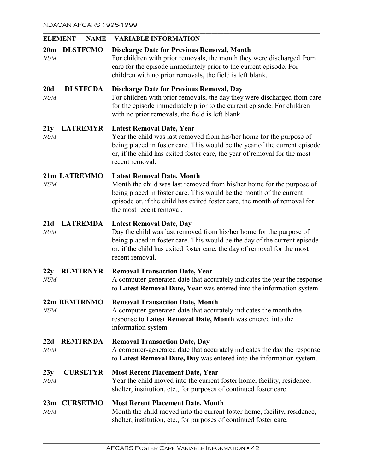|                   | <b>ELEMENT</b><br><b>NAME</b> | <b>VARIABLE INFORMATION</b>                                                                                                                                                                                                                                                                |
|-------------------|-------------------------------|--------------------------------------------------------------------------------------------------------------------------------------------------------------------------------------------------------------------------------------------------------------------------------------------|
| 20m<br><b>NUM</b> | <b>DLSTFCMO</b>               | <b>Discharge Date for Previous Removal, Month</b><br>For children with prior removals, the month they were discharged from<br>care for the episode immediately prior to the current episode. For<br>children with no prior removals, the field is left blank.                              |
| 20d<br><b>NUM</b> | <b>DLSTFCDA</b>               | <b>Discharge Date for Previous Removal, Day</b><br>For children with prior removals, the day they were discharged from care<br>for the episode immediately prior to the current episode. For children<br>with no prior removals, the field is left blank.                                  |
| 21y<br><b>NUM</b> | <b>LATREMYR</b>               | <b>Latest Removal Date, Year</b><br>Year the child was last removed from his/her home for the purpose of<br>being placed in foster care. This would be the year of the current episode<br>or, if the child has exited foster care, the year of removal for the most<br>recent removal.     |
| <b>NUM</b>        | 21m LATREMMO                  | <b>Latest Removal Date, Month</b><br>Month the child was last removed from his/her home for the purpose of<br>being placed in foster care. This would be the month of the current<br>episode or, if the child has exited foster care, the month of removal for<br>the most recent removal. |
| 21d<br><b>NUM</b> | <b>LATREMDA</b>               | <b>Latest Removal Date, Day</b><br>Day the child was last removed from his/her home for the purpose of<br>being placed in foster care. This would be the day of the current episode<br>or, if the child has exited foster care, the day of removal for the most<br>recent removal.         |
| 22y<br>NUM        | <b>REMTRNYR</b>               | <b>Removal Transaction Date, Year</b><br>A computer-generated date that accurately indicates the year the response<br>to Latest Removal Date, Year was entered into the information system.                                                                                                |
| NUM               | 22m REMTRNMO                  | <b>Removal Transaction Date, Month</b><br>A computer-generated date that accurately indicates the month the<br>response to Latest Removal Date, Month was entered into the<br>information system.                                                                                          |
| 22d<br>NUM        | <b>REMTRNDA</b>               | <b>Removal Transaction Date, Day</b><br>A computer-generated date that accurately indicates the day the response<br>to Latest Removal Date, Day was entered into the information system.                                                                                                   |
| 23y<br>NUM        | <b>CURSETYR</b>               | <b>Most Recent Placement Date, Year</b><br>Year the child moved into the current foster home, facility, residence,<br>shelter, institution, etc., for purposes of continued foster care.                                                                                                   |
| 23m<br><b>NUM</b> | <b>CURSETMO</b>               | <b>Most Recent Placement Date, Month</b><br>Month the child moved into the current foster home, facility, residence,<br>shelter, institution, etc., for purposes of continued foster care.                                                                                                 |

\_\_\_\_\_\_\_\_\_\_\_\_\_\_\_\_\_\_\_\_\_\_\_\_\_\_\_\_\_\_\_\_\_\_\_\_\_\_\_\_\_\_\_\_\_\_\_\_\_\_\_\_\_\_\_\_\_\_\_\_\_\_\_\_\_\_\_\_\_\_\_\_\_\_\_\_\_\_\_\_\_\_\_\_\_\_\_\_\_\_\_\_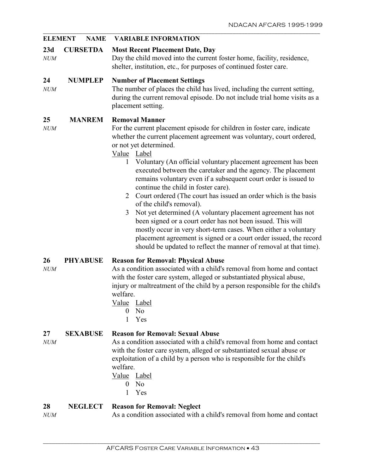| <b>VARIABLE INFORMATION</b><br><b>ELEMENT</b><br><b>NAME</b> |
|--------------------------------------------------------------|
|--------------------------------------------------------------|

|                  | <b>RAND</b>     | <b>TANIADLE INTONWATION</b>                                                                                                                                                                                                                                                                                                                                                                                                                                                                                                                                                                                                                                                                                                                                                                                                                                                                                      |
|------------------|-----------------|------------------------------------------------------------------------------------------------------------------------------------------------------------------------------------------------------------------------------------------------------------------------------------------------------------------------------------------------------------------------------------------------------------------------------------------------------------------------------------------------------------------------------------------------------------------------------------------------------------------------------------------------------------------------------------------------------------------------------------------------------------------------------------------------------------------------------------------------------------------------------------------------------------------|
| 23d<br>NUM       | <b>CURSETDA</b> | <b>Most Recent Placement Date, Day</b><br>Day the child moved into the current foster home, facility, residence,<br>shelter, institution, etc., for purposes of continued foster care.                                                                                                                                                                                                                                                                                                                                                                                                                                                                                                                                                                                                                                                                                                                           |
| 24<br><b>NUM</b> | <b>NUMPLEP</b>  | <b>Number of Placement Settings</b><br>The number of places the child has lived, including the current setting,<br>during the current removal episode. Do not include trial home visits as a<br>placement setting.                                                                                                                                                                                                                                                                                                                                                                                                                                                                                                                                                                                                                                                                                               |
| 25<br><b>NUM</b> | <b>MANREM</b>   | <b>Removal Manner</b><br>For the current placement episode for children in foster care, indicate<br>whether the current placement agreement was voluntary, court ordered,<br>or not yet determined.<br>Value Label<br>Voluntary (An official voluntary placement agreement has been<br>1<br>executed between the caretaker and the agency. The placement<br>remains voluntary even if a subsequent court order is issued to<br>continue the child in foster care).<br>Court ordered (The court has issued an order which is the basis<br>2<br>of the child's removal).<br>Not yet determined (A voluntary placement agreement has not<br>been signed or a court order has not been issued. This will<br>mostly occur in very short-term cases. When either a voluntary<br>placement agreement is signed or a court order issued, the record<br>should be updated to reflect the manner of removal at that time). |
| 26<br><b>NUM</b> | <b>PHYABUSE</b> | <b>Reason for Removal: Physical Abuse</b><br>As a condition associated with a child's removal from home and contact<br>with the foster care system, alleged or substantiated physical abuse,<br>injury or maltreatment of the child by a person responsible for the child's<br>welfare.<br>Value Label<br>N <sub>0</sub><br>$\boldsymbol{0}$<br>Yes                                                                                                                                                                                                                                                                                                                                                                                                                                                                                                                                                              |
| 27<br><b>NUM</b> | <b>SEXABUSE</b> | <b>Reason for Removal: Sexual Abuse</b><br>As a condition associated with a child's removal from home and contact<br>with the foster care system, alleged or substantiated sexual abuse or<br>exploitation of a child by a person who is responsible for the child's<br>welfare.<br>Value Label<br>N <sub>0</sub><br>$\theta$<br>Yes<br>1                                                                                                                                                                                                                                                                                                                                                                                                                                                                                                                                                                        |
| 28<br><b>NUM</b> | <b>NEGLECT</b>  | <b>Reason for Removal: Neglect</b><br>As a condition associated with a child's removal from home and contact                                                                                                                                                                                                                                                                                                                                                                                                                                                                                                                                                                                                                                                                                                                                                                                                     |

\_\_\_\_\_\_\_\_\_\_\_\_\_\_\_\_\_\_\_\_\_\_\_\_\_\_\_\_\_\_\_\_\_\_\_\_\_\_\_\_\_\_\_\_\_\_\_\_\_\_\_\_\_\_\_\_\_\_\_\_\_\_\_\_\_\_\_\_\_\_\_\_\_\_\_\_\_\_\_\_\_\_\_\_\_\_\_\_\_\_\_\_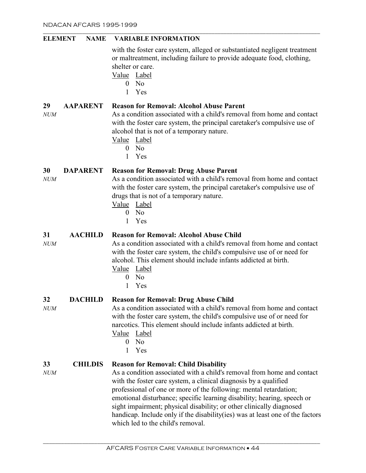#### **ELEMENT NAME VARIABLE INFORMATION**

with the foster care system, alleged or substantiated negligent treatment or maltreatment, including failure to provide adequate food, clothing, shelter or care.

\_\_\_\_\_\_\_\_\_\_\_\_\_\_\_\_\_\_\_\_\_\_\_\_\_\_\_\_\_\_\_\_\_\_\_\_\_\_\_\_\_\_\_\_\_\_\_\_\_\_\_\_\_\_\_\_\_\_\_\_\_\_\_\_\_\_\_\_\_\_\_\_\_\_\_\_\_\_\_\_\_\_\_\_\_\_\_\_\_\_\_\_

Value Label

- $0$  No
- 1 Yes

#### **29 AAPARENT Reason for Removal: Alcohol Abuse Parent**

*NUM* 

- As a condition associated with a child's removal from home and contact with the foster care system, the principal caretaker's compulsive use of alcohol that is not of a temporary nature.
	- Value Label
		- $0$  No
		- 1 Yes

#### **30 DAPARENT Reason for Removal: Drug Abuse Parent**

*NUM* 

*NUM* 

*NUM* 

- As a condition associated with a child's removal from home and contact with the foster care system, the principal caretaker's compulsive use of drugs that is not of a temporary nature.
- Value Label
	- $0$  No
	- 1 Yes

#### **31 AACHILD Reason for Removal: Alcohol Abuse Child**

As a condition associated with a child's removal from home and contact with the foster care system, the child's compulsive use of or need for alcohol. This element should include infants addicted at birth.

- Value Label
	- $0$  No
	- 1 Yes

#### **32 DACHILD Reason for Removal: Drug Abuse Child**

As a condition associated with a child's removal from home and contact with the foster care system, the child's compulsive use of or need for narcotics. This element should include infants addicted at birth. Value Label

- $0$  No
	- 1 Yes

#### **33 CHILDIS Reason for Removal: Child Disability**

*NUM* 

As a condition associated with a child's removal from home and contact with the foster care system, a clinical diagnosis by a qualified professional of one or more of the following: mental retardation; emotional disturbance; specific learning disability; hearing, speech or sight impairment; physical disability; or other clinically diagnosed handicap. Include only if the disability(ies) was at least one of the factors which led to the child's removal.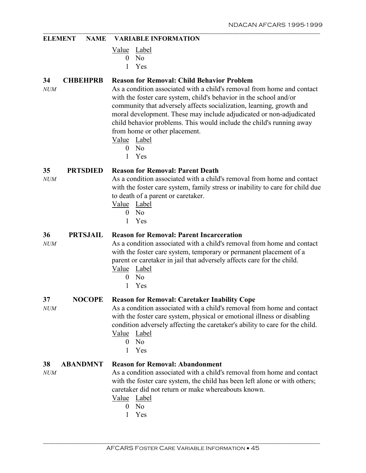|                  | <b>ELEMENT</b><br><b>NAME</b> | <b>VARIABLE INFORMATION</b>                                                                                                                                                                                                                                                                                                                                                                                                                                                                               |
|------------------|-------------------------------|-----------------------------------------------------------------------------------------------------------------------------------------------------------------------------------------------------------------------------------------------------------------------------------------------------------------------------------------------------------------------------------------------------------------------------------------------------------------------------------------------------------|
|                  |                               | Value Label<br>$\rm No$<br>$\overline{0}$<br>Yes<br>1                                                                                                                                                                                                                                                                                                                                                                                                                                                     |
| 34<br><b>NUM</b> | <b>CHBEHPRB</b>               | <b>Reason for Removal: Child Behavior Problem</b><br>As a condition associated with a child's removal from home and contact<br>with the foster care system, child's behavior in the school and/or<br>community that adversely affects socialization, learning, growth and<br>moral development. These may include adjudicated or non-adjudicated<br>child behavior problems. This would include the child's running away<br>from home or other placement.<br>Value Label<br>$0$ No<br>Yes<br>$\mathbf{1}$ |
| 35<br><b>NUM</b> | <b>PRTSDIED</b>               | <b>Reason for Removal: Parent Death</b><br>As a condition associated with a child's removal from home and contact<br>with the foster care system, family stress or inability to care for child due<br>to death of a parent or caretaker.<br>Value Label<br>N <sub>o</sub><br>$\overline{0}$<br>Yes<br>$\mathbf{1}$                                                                                                                                                                                        |
| 36<br><b>NUM</b> | <b>PRTSJAIL</b>               | <b>Reason for Removal: Parent Incarceration</b><br>As a condition associated with a child's removal from home and contact<br>with the foster care system, temporary or permanent placement of a<br>parent or caretaker in jail that adversely affects care for the child.<br><u>Value</u> Label<br>N <sub>0</sub><br>$\overline{0}$<br>Yes<br>1                                                                                                                                                           |
| 37<br><b>NUM</b> | <b>NOCOPE</b>                 | <b>Reason for Removal: Caretaker Inability Cope</b><br>As a condition associated with a child's removal from home and contact<br>with the foster care system, physical or emotional illness or disabling<br>condition adversely affecting the caretaker's ability to care for the child.<br>Value Label<br>N <sub>0</sub><br>$\overline{0}$<br>Yes<br>1                                                                                                                                                   |
| 38<br><b>NUM</b> | <b>ABANDMNT</b>               | <b>Reason for Removal: Abandonment</b><br>As a condition associated with a child's removal from home and contact<br>with the foster care system, the child has been left alone or with others;<br>caretaker did not return or make whereabouts known.<br>Value Label<br>N <sub>0</sub><br>$\theta$<br>Yes<br>1                                                                                                                                                                                            |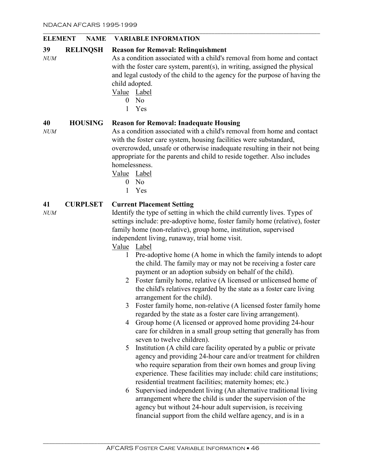| <b>ELEMENT</b>   | <b>NAME</b>     | <b>VARIABLE INFORMATION</b>                                                                                                                                                                                                                                                                                                                                                                                                                                                                                                                                                                                                                                                                                                                                                                                                                                                                                                                                                                                                                                                                                                                                                                                                                                                                                                                                                                                                                                                                                                                                                                                                                          |
|------------------|-----------------|------------------------------------------------------------------------------------------------------------------------------------------------------------------------------------------------------------------------------------------------------------------------------------------------------------------------------------------------------------------------------------------------------------------------------------------------------------------------------------------------------------------------------------------------------------------------------------------------------------------------------------------------------------------------------------------------------------------------------------------------------------------------------------------------------------------------------------------------------------------------------------------------------------------------------------------------------------------------------------------------------------------------------------------------------------------------------------------------------------------------------------------------------------------------------------------------------------------------------------------------------------------------------------------------------------------------------------------------------------------------------------------------------------------------------------------------------------------------------------------------------------------------------------------------------------------------------------------------------------------------------------------------------|
| 39<br>NUM        | <b>RELINQSH</b> | <b>Reason for Removal: Relinquishment</b><br>As a condition associated with a child's removal from home and contact<br>with the foster care system, parent(s), in writing, assigned the physical<br>and legal custody of the child to the agency for the purpose of having the<br>child adopted.<br>Value Label<br>N <sub>o</sub><br>$\boldsymbol{0}$<br>Yes<br>1                                                                                                                                                                                                                                                                                                                                                                                                                                                                                                                                                                                                                                                                                                                                                                                                                                                                                                                                                                                                                                                                                                                                                                                                                                                                                    |
| 40<br><i>NUM</i> | <b>HOUSING</b>  | <b>Reason for Removal: Inadequate Housing</b><br>As a condition associated with a child's removal from home and contact<br>with the foster care system, housing facilities were substandard,<br>overcrowded, unsafe or otherwise inadequate resulting in their not being<br>appropriate for the parents and child to reside together. Also includes<br>homelessness.<br>Value Label<br>N <sub>0</sub><br>$\overline{0}$<br>1<br>Yes                                                                                                                                                                                                                                                                                                                                                                                                                                                                                                                                                                                                                                                                                                                                                                                                                                                                                                                                                                                                                                                                                                                                                                                                                  |
| 41<br>NUM        | <b>CURPLSET</b> | <b>Current Placement Setting</b><br>Identify the type of setting in which the child currently lives. Types of<br>settings include: pre-adoptive home, foster family home (relative), foster<br>family home (non-relative), group home, institution, supervised<br>independent living, runaway, trial home visit.<br>Value Label<br>Pre-adoptive home (A home in which the family intends to adopt<br>1<br>the child. The family may or may not be receiving a foster care<br>payment or an adoption subsidy on behalf of the child).<br>Foster family home, relative (A licensed or unlicensed home of<br>2<br>the child's relatives regarded by the state as a foster care living<br>arrangement for the child).<br>Foster family home, non-relative (A licensed foster family home<br>3<br>regarded by the state as a foster care living arrangement).<br>Group home (A licensed or approved home providing 24-hour<br>4<br>care for children in a small group setting that generally has from<br>seven to twelve children).<br>Institution (A child care facility operated by a public or private<br>5<br>agency and providing 24-hour care and/or treatment for children<br>who require separation from their own homes and group living<br>experience. These facilities may include: child care institutions;<br>residential treatment facilities; maternity homes; etc.)<br>Supervised independent living (An alternative traditional living<br>6<br>arrangement where the child is under the supervision of the<br>agency but without 24-hour adult supervision, is receiving<br>financial support from the child welfare agency, and is in a |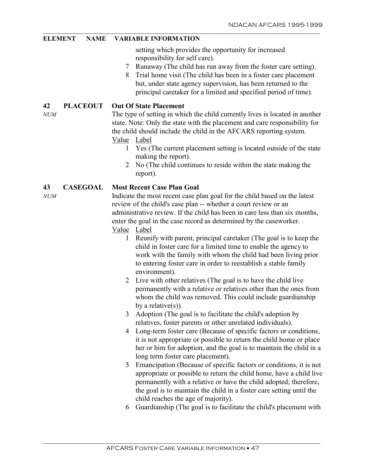#### **ELEMENT NAME VARIABLE INFORMATION**

setting which provides the opportunity for increased responsibility for self care).

\_\_\_\_\_\_\_\_\_\_\_\_\_\_\_\_\_\_\_\_\_\_\_\_\_\_\_\_\_\_\_\_\_\_\_\_\_\_\_\_\_\_\_\_\_\_\_\_\_\_\_\_\_\_\_\_\_\_\_\_\_\_\_\_\_\_\_\_\_\_\_\_\_\_\_\_\_\_\_\_\_\_\_\_\_\_\_\_\_\_\_\_

- 7 Runaway (The child has run away from the foster care setting).
- 8 Trial home visit (The child has been in a foster care placement but, under state agency supervision, has been returned to the principal caretaker for a limited and specified period of time).

#### **42 PLACEOUT Out Of State Placement**

*NUM* 

The type of setting in which the child currently lives is located in another state. Note: Only the state with the placement and care responsibility for the child should include the child in the AFCARS reporting system.

Value Label

- 1 Yes (The current placement setting is located outside of the state making the report).
- 2 No (The child continues to reside within the state making the report).

#### **43 CASEGOAL Most Recent Case Plan Goal**

*NUM* 

 Indicate the most recent case plan goal for the child based on the latest review of the child's case plan -- whether a court review or an administrative review. If the child has been in care less than six months, enter the goal in the case record as determined by the caseworker. Value Label

- 1 Reunify with parent, principal caretaker (The goal is to keep the child in foster care for a limited time to enable the agency to work with the family with whom the child had been living prior to entering foster care in order to reestablish a stable family environment).
- 2 Live with other relatives (The goal is to have the child live permanently with a relative or relatives other than the ones from whom the child was removed. This could include guardianship by a relative $(s)$ ).
- 3 Adoption (The goal is to facilitate the child's adoption by relatives, foster parents or other unrelated individuals).
- 4 Long-term foster care (Because of specific factors or conditions, it is not appropriate or possible to return the child home or place her or him for adoption, and the goal is to maintain the child in a long term foster care placement).
- 5 Emancipation (Because of specific factors or conditions, it is not appropriate or possible to return the child home, have a child live permanently with a relative or have the child adopted; therefore, the goal is to maintain the child in a foster care setting until the child reaches the age of majority).
- 6 Guardianship (The goal is to facilitate the child's placement with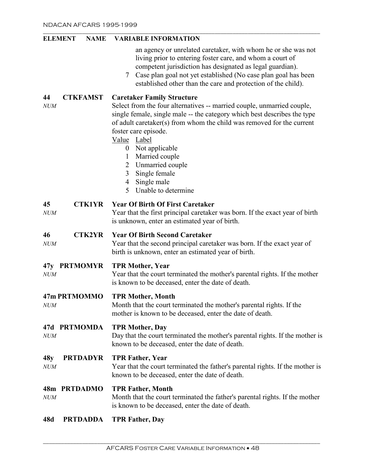| <b>ELEMENT</b><br><b>NAME</b>        | <b>VARIABLE INFORMATION</b>                                                                                                                                                                                                                                                                                                                                                                                                                                                                              |
|--------------------------------------|----------------------------------------------------------------------------------------------------------------------------------------------------------------------------------------------------------------------------------------------------------------------------------------------------------------------------------------------------------------------------------------------------------------------------------------------------------------------------------------------------------|
|                                      | an agency or unrelated caretaker, with whom he or she was not<br>living prior to entering foster care, and whom a court of<br>competent jurisdiction has designated as legal guardian).<br>Case plan goal not yet established (No case plan goal has been<br>7<br>established other than the care and protection of the child).                                                                                                                                                                          |
| 44<br><b>CTKFAMST</b><br>NUM         | <b>Caretaker Family Structure</b><br>Select from the four alternatives -- married couple, unmarried couple,<br>single female, single male -- the category which best describes the type<br>of adult caretaker(s) from whom the child was removed for the current<br>foster care episode.<br>Value Label<br>Not applicable<br>$\boldsymbol{0}$<br>Married couple<br>$\mathbf{1}$<br>$\overline{2}$<br>Unmarried couple<br>Single female<br>3<br>Single male<br>$\overline{4}$<br>5<br>Unable to determine |
| 45<br><b>CTK1YR</b><br>NUM           | <b>Year Of Birth Of First Caretaker</b><br>Year that the first principal caretaker was born. If the exact year of birth<br>is unknown, enter an estimated year of birth.                                                                                                                                                                                                                                                                                                                                 |
| <b>CTK2YR</b><br>46<br>NUM           | <b>Year Of Birth Second Caretaker</b><br>Year that the second principal caretaker was born. If the exact year of<br>birth is unknown, enter an estimated year of birth.                                                                                                                                                                                                                                                                                                                                  |
| 47y PRTMOMYR<br><i>NUM</i>           | <b>TPR Mother, Year</b><br>Year that the court terminated the mother's parental rights. If the mother<br>is known to be deceased, enter the date of death.                                                                                                                                                                                                                                                                                                                                               |
| <b>47m PRTMOMMO</b><br>NUM           | <b>TPR Mother, Month</b><br>Month that the court terminated the mother's parental rights. If the<br>mother is known to be deceased, enter the date of death.                                                                                                                                                                                                                                                                                                                                             |
| 47d PRTMOMDA<br><i>NUM</i>           | <b>TPR Mother, Day</b><br>Day that the court terminated the mother's parental rights. If the mother is<br>known to be deceased, enter the date of death.                                                                                                                                                                                                                                                                                                                                                 |
| 48y<br><b>PRTDADYR</b><br>NUM        | <b>TPR Father, Year</b><br>Year that the court terminated the father's parental rights. If the mother is<br>known to be deceased, enter the date of death.                                                                                                                                                                                                                                                                                                                                               |
| <b>PRTDADMO</b><br>48m<br><i>NUM</i> | <b>TPR Father, Month</b><br>Month that the court terminated the father's parental rights. If the mother<br>is known to be deceased, enter the date of death.                                                                                                                                                                                                                                                                                                                                             |

**48d PRTDADDA TPR Father, Day**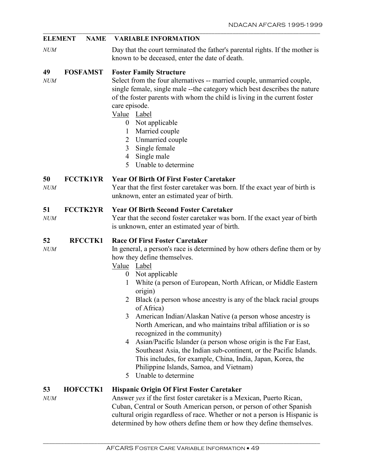#### **ELEMENT NAME VARIABLE INFORMATION**

*NUM* Day that the court terminated the father's parental rights. If the mother is known to be deceased, enter the date of death.

\_\_\_\_\_\_\_\_\_\_\_\_\_\_\_\_\_\_\_\_\_\_\_\_\_\_\_\_\_\_\_\_\_\_\_\_\_\_\_\_\_\_\_\_\_\_\_\_\_\_\_\_\_\_\_\_\_\_\_\_\_\_\_\_\_\_\_\_\_\_\_\_\_\_\_\_\_\_\_\_\_\_\_\_\_\_\_\_\_\_\_\_

#### **49 FOSFAMST Foster Family Structure**

*NUM* Select from the four alternatives -- married couple, unmarried couple, single female, single male --the category which best describes the nature of the foster parents with whom the child is living in the current foster care episode.

- Value Label
	- 0 Not applicable
	- 1 Married couple
	- 2 Unmarried couple
	- 3 Single female
	- 4 Single male
	- 5 Unable to determine

#### **50 FCCTK1YR Year Of Birth Of First Foster Caretaker**

*NUM* Year that the first foster caretaker was born. If the exact year of birth is unknown, enter an estimated year of birth.

#### **51 FCCTK2YR Year Of Birth Second Foster Caretaker**

*NUM* Year that the second foster caretaker was born. If the exact year of birth is unknown, enter an estimated year of birth.

### **52 RFCCTK1 Race Of First Foster Caretaker**

*NUM* **In general, a person's race is determined by how others define them or by** how they define themselves.

Value Label

- 0 Not applicable
- 1 White (a person of European, North African, or Middle Eastern origin)
- 2 Black (a person whose ancestry is any of the black racial groups of Africa)
- 3 American Indian/Alaskan Native (a person whose ancestry is North American, and who maintains tribal affiliation or is so recognized in the community)
- 4 Asian/Pacific Islander (a person whose origin is the Far East, Southeast Asia, the Indian sub-continent, or the Pacific Islands. This includes, for example, China, India, Japan, Korea, the Philippine Islands, Samoa, and Vietnam)
- 5 Unable to determine

#### **53 HOFCCTK1 Hispanic Origin Of First Foster Caretaker**

*NUM* Answer *yes* if the first foster caretaker is a Mexican, Puerto Rican, Cuban, Central or South American person, or person of other Spanish cultural origin regardless of race. Whether or not a person is Hispanic is determined by how others define them or how they define themselves.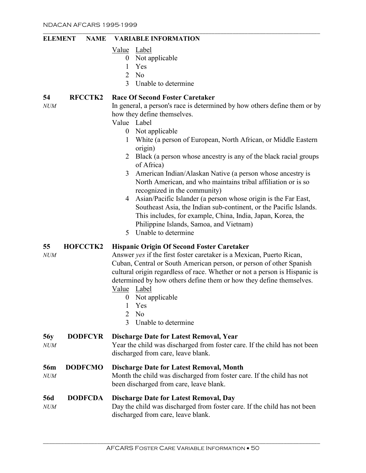#### **ELEMENT NAME VARIABLE INFORMATION**

#### Value Label

- 0 Not applicable
- 1 Yes
- 2 No
- 3 Unable to determine

 $\overline{a}$  , and the contribution of the contribution of the contribution of the contribution of the contribution of the contribution of the contribution of the contribution of the contribution of the contribution of the co

### **54 RFCCTK2 Race Of Second Foster Caretaker**

*NUM* **In general, a person's race is determined by how others define them or by** how they define themselves.

#### Value Label

- 0 Not applicable
- 1 White (a person of European, North African, or Middle Eastern origin)
- 2 Black (a person whose ancestry is any of the black racial groups of Africa)
- 3 American Indian/Alaskan Native (a person whose ancestry is North American, and who maintains tribal affiliation or is so recognized in the community)
- 4 Asian/Pacific Islander (a person whose origin is the Far East, Southeast Asia, the Indian sub-continent, or the Pacific Islands. This includes, for example, China, India, Japan, Korea, the Philippine Islands, Samoa, and Vietnam)
- 5 Unable to determine

# **55 HOFCCTK2 Hispanic Origin Of Second Foster Caretaker**

# *NUM* Answer *yes* if the first foster caretaker is a Mexican, Puerto Rican, Cuban, Central or South American person, or person of other Spanish

cultural origin regardless of race. Whether or not a person is Hispanic is determined by how others define them or how they define themselves.

# Value Label

- 0 Not applicable
- 1 Yes
- 2 No
- 3 Unable to determine

### **56y DODFCYR Discharge Date for Latest Removal, Year**

*NUM* Year the child was discharged from foster care. If the child has not been discharged from care, leave blank.

### **56m DODFCMO Discharge Date for Latest Removal, Month**  *NUM* Month the child was discharged from foster care. If the child has not been discharged from care, leave blank.

### **56d DODFCDA Discharge Date for Latest Removal, Day**

*NUM* Day the child was discharged from foster care. If the child has not been discharged from care, leave blank.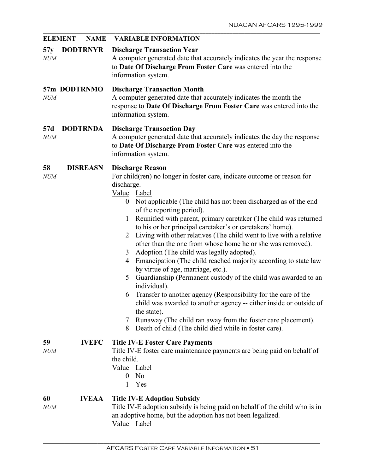|                   | <b>ELEMENT</b><br><b>NAME</b> | <b>VARIABLE INFORMATION</b>                                                                                                                                                                                                                                                                                                                                                                                                                                                                                                                                                                                                                                                                                                                                                                                                                                                                                                                                                                                                                                                                |
|-------------------|-------------------------------|--------------------------------------------------------------------------------------------------------------------------------------------------------------------------------------------------------------------------------------------------------------------------------------------------------------------------------------------------------------------------------------------------------------------------------------------------------------------------------------------------------------------------------------------------------------------------------------------------------------------------------------------------------------------------------------------------------------------------------------------------------------------------------------------------------------------------------------------------------------------------------------------------------------------------------------------------------------------------------------------------------------------------------------------------------------------------------------------|
| 57y<br><b>NUM</b> | <b>DODTRNYR</b>               | <b>Discharge Transaction Year</b><br>A computer generated date that accurately indicates the year the response<br>to Date Of Discharge From Foster Care was entered into the<br>information system.                                                                                                                                                                                                                                                                                                                                                                                                                                                                                                                                                                                                                                                                                                                                                                                                                                                                                        |
| <b>NUM</b>        | 57m DODTRNMO                  | <b>Discharge Transaction Month</b><br>A computer generated date that accurately indicates the month the<br>response to Date Of Discharge From Foster Care was entered into the<br>information system.                                                                                                                                                                                                                                                                                                                                                                                                                                                                                                                                                                                                                                                                                                                                                                                                                                                                                      |
| 57d<br>NUM        | <b>DODTRNDA</b>               | <b>Discharge Transaction Day</b><br>A computer generated date that accurately indicates the day the response<br>to Date Of Discharge From Foster Care was entered into the<br>information system.                                                                                                                                                                                                                                                                                                                                                                                                                                                                                                                                                                                                                                                                                                                                                                                                                                                                                          |
| 58<br>NUM         | <b>DISREASN</b>               | <b>Discharge Reason</b><br>For child (ren) no longer in foster care, indicate outcome or reason for<br>discharge.<br>Value Label<br>Not applicable (The child has not been discharged as of the end<br>$\boldsymbol{0}$<br>of the reporting period).<br>Reunified with parent, primary caretaker (The child was returned<br>1<br>to his or her principal caretaker's or caretakers' home).<br>Living with other relatives (The child went to live with a relative<br>2<br>other than the one from whose home he or she was removed).<br>Adoption (The child was legally adopted).<br>3<br>Emancipation (The child reached majority according to state law<br>4<br>by virtue of age, marriage, etc.).<br>Guardianship (Permanent custody of the child was awarded to an<br>5<br>individual).<br>Transfer to another agency (Responsibility for the care of the<br>6<br>child was awarded to another agency -- either inside or outside of<br>the state).<br>Runaway (The child ran away from the foster care placement).<br>7<br>Death of child (The child died while in foster care).<br>8 |
| 59<br>$\it NUM$   | <b>IVEFC</b>                  | <b>Title IV-E Foster Care Payments</b><br>Title IV-E foster care maintenance payments are being paid on behalf of<br>the child.<br>Value Label<br>$0$ No<br>Yes<br>1                                                                                                                                                                                                                                                                                                                                                                                                                                                                                                                                                                                                                                                                                                                                                                                                                                                                                                                       |
| 60<br>$\it NUM$   | <b>IVEAA</b>                  | <b>Title IV-E Adoption Subsidy</b><br>Title IV-E adoption subsidy is being paid on behalf of the child who is in<br>an adoptive home, but the adoption has not been legalized.<br>Value Label                                                                                                                                                                                                                                                                                                                                                                                                                                                                                                                                                                                                                                                                                                                                                                                                                                                                                              |